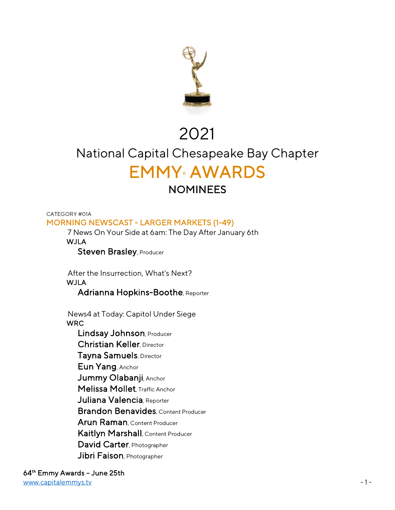

## 2021

# National Capital Chesapeake Bay Chapter EMMY® AWARDS

CATEGORY #01A MORNING NEWSCAST - LARGER MARKETS (1-49)

 7 News On Your Side at 6am: The Day After January 6th **WJLA** 

Steven Brasley, Producer

 After the Insurrection, What's Next? WJLA

Adrianna Hopkins-Boothe, Reporter

 News4 at Today: Capitol Under Siege **WRC**  Lindsay Johnson, Producer Christian Keller, Director Tayna Samuels, Director Eun Yang, Anchor Jummy Olabanji, Anchor Melissa Mollet, Traffic Anchor

Juliana Valencia, Reporter

Brandon Benavides, Content Producer

Arun Raman, Content Producer

Kaitlyn Marshall, Content Producer

David Carter, Photographer

Jibri Faison, Photographer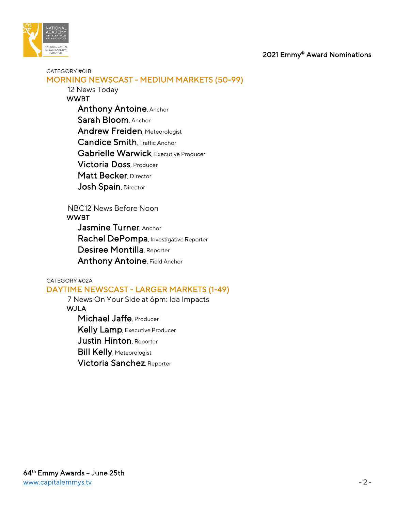

#### CATEGORY #01B MORNING NEWSCAST - MEDIUM MARKETS (50-99)

12 News Today

- WWBT Anthony Antoine, Anchor Sarah Bloom, Anchor **Andrew Freiden, Meteorologist**  Candice Smith, Traffic Anchor Gabrielle Warwick Executive Producer Victoria Doss, Producer Matt Becker, Director Josh Spain, Director
- NBC12 News Before Noon

#### **WWBT**

 Jasmine Turner, Anchor Rachel DePompa, Investigative Reporter Desiree Montilla, Reporter Anthony Antoine, Field Anchor

#### CATEGORY #02A

## DAYTIME NEWSCAST - LARGER MARKETS (1-49)

7 News On Your Side at 6pm: Ida Impacts

## WJLA

Michael Jaffe, Producer Kelly Lamp, Executive Producer Justin Hinton, Reporter **Bill Kelly, Meteorologist** Victoria Sanchez, Reporter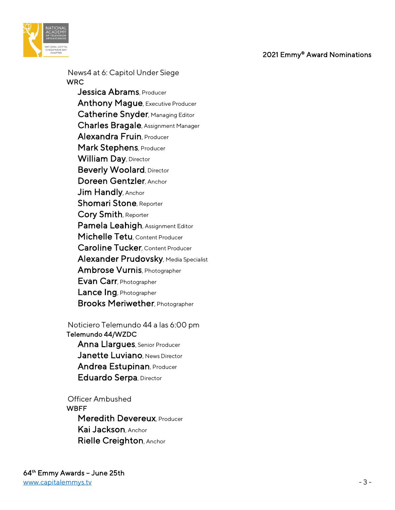

 News4 at 6: Capitol Under Siege **WRC** Jessica Abrams, Producer Anthony Mague, Executive Producer Catherine Snyder, Managing Editor Charles Bragale, Assignment Manager Alexandra Fruin, Producer Mark Stephens, Producer William Day, Director Beverly Woolard, Director Doreen Gentzler, Anchor Jim Handly, Anchor Shomari Stone, Reporter Cory Smith, Reporter Pamela Leahigh, Assignment Editor Michelle Tetu, Content Producer Caroline Tucker, Content Producer Alexander Prudovsky, Media Specialist Ambrose Vurnis, Photographer Evan Carr, Photographer Lance Ing, Photographer Brooks Meriwether, Photographer

 Noticiero Telemundo 44 a las 6:00 pm Telemundo 44/WZDC Anna Llargues, Senior Producer Janette Luviano, News Director Andrea Estupinan, Producer Eduardo Serpa, Director

 Officer Ambushed **WBFF** Meredith Devereux, Producer Kai Jackson, Anchor Rielle Creighton, Anchor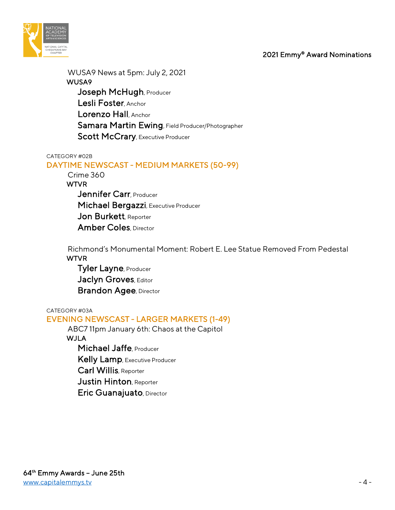

 WUSA9 News at 5pm: July 2, 2021 WUSA9 Joseph McHugh, Producer Lesli Foster, Anchor Lorenzo Hall, Anchor Samara Martin Ewing, Field Producer/Photographer Scott McCrary, Executive Producer

#### CATEGORY #02B

## DAYTIME NEWSCAST - MEDIUM MARKETS (50-99)

Crime 360

**WTVR** 

Jennifer Carr, Producer Michael Bergazzi, Executive Producer Jon Burkett, Reporter Amber Coles, Director

 Richmond's Monumental Moment: Robert E. Lee Statue Removed From Pedestal WTVR

 Tyler Layne, Producer Jaclyn Groves, Editor **Brandon Agee, Director** 

#### CATEGORY #03A

## EVENING NEWSCAST - LARGER MARKETS (1-49)

 ABC7 11pm January 6th: Chaos at the Capitol WJLA Michael Jaffe, Producer Kelly Lamp, Executive Producer Carl Willis, Reporter

Justin Hinton, Reporter

Eric Guanajuato, Director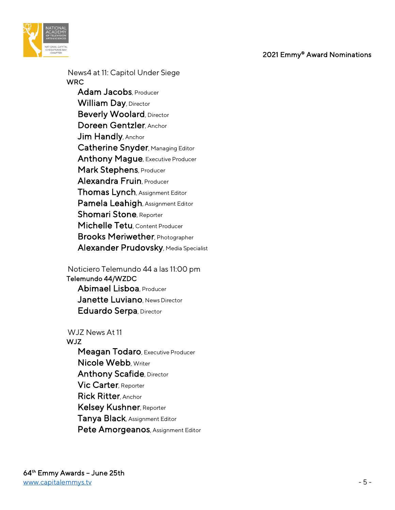

 News4 at 11: Capitol Under Siege WRC Adam Jacobs, Producer William Day, Director **Beverly Woolard, Director**  Doreen Gentzler, Anchor Jim Handly, Anchor Catherine Snyder, Managing Editor Anthony Mague, Executive Producer Mark Stephens, Producer Alexandra Fruin, Producer Thomas Lynch, Assignment Editor Pamela Leahigh, Assignment Editor Shomari Stone, Reporter Michelle Tetu, Content Producer Brooks Meriwether, Photographer Alexander Prudovsky, Media Specialist

 Noticiero Telemundo 44 a las 11:00 pm Telemundo 44/WZDC Abimael Lisboa, Producer Janette Luviano, News Director

Eduardo Serpa, Director

 WJZ News At 11 WJZ Meagan Todaro, Executive Producer Nicole Webb, Writer **Anthony Scafide, Director**  Vic Carter, Reporter Rick Ritter, Anchor Kelsey Kushner, Reporter Tanya Black, Assignment Editor Pete Amorgeanos, Assignment Editor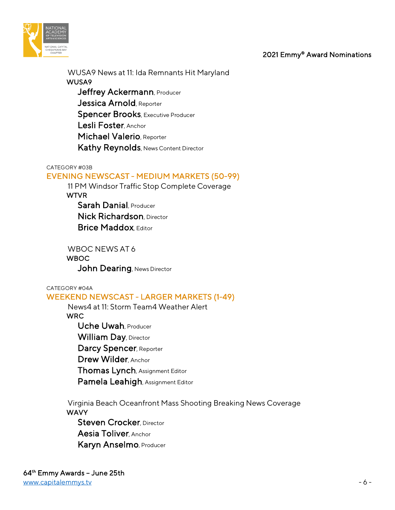



 WUSA9 News at 11: Ida Remnants Hit Maryland WUSA9 Jeffrey Ackermann, Producer Jessica Arnold, Reporter Spencer Brooks, Executive Producer Lesli Foster Anchor Michael Valerio, Reporter Kathy Reynolds, News Content Director

#### CATEGORY #03B

## EVENING NEWSCAST - MEDIUM MARKETS (50-99)

 11 PM Windsor Traffic Stop Complete Coverage WTVR Sarah Danial, Producer

**Nick Richardson**, Director **Brice Maddox Fditor** 

 WBOC NEWS AT 6 **WBOC** John Dearing, News Director

CATEGORY #04A

## WEEKEND NEWSCAST - LARGER MARKETS (1-49)

 News4 at 11: Storm Team4 Weather Alert **WRC**  Uche Uwah, Producer William Day, Director Darcy Spencer, Reporter Drew Wilder, Anchor Thomas Lynch, Assignment Editor Pamela Leahigh, Assignment Editor

 Virginia Beach Oceanfront Mass Shooting Breaking News Coverage **WAVY** 

Steven Crocker, Director Aesia Toliver, Anchor Karyn Anselmo, Producer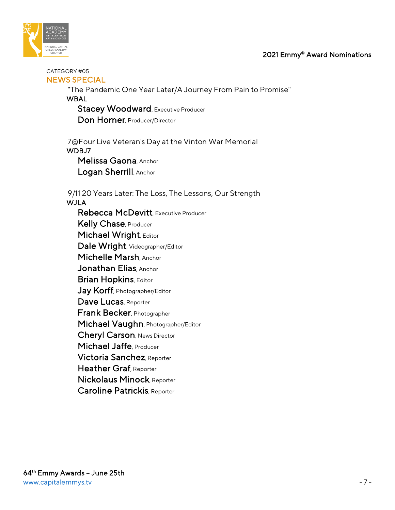

#### CATEGORY #05 NEWS SPECIAL

 "The Pandemic One Year Later/A Journey From Pain to Promise" **WBAL** 

Stacey Woodward, Executive Producer Don Horner, Producer/Director

 7@Four Live Veteran's Day at the Vinton War Memorial WDBJ7 Melissa Gaona, Anchor Logan Sherrill, Anchor

9/11 20 Years Later: The Loss, The Lessons, Our Strength

**WJLA** 

 Rebecca McDevitt, Executive Producer Kelly Chase, Producer Michael Wright, Editor Dale Wright, Videographer/Editor Michelle Marsh, Anchor Jonathan Elias, Anchor **Brian Hopkins, Editor** Jay Korff, Photographer/Editor Dave Lucas, Reporter Frank Becker, Photographer Michael Vaughn, Photographer/Editor Cheryl Carson, News Director Michael Jaffe, Producer Victoria Sanchez, Reporter Heather Graf, Reporter Nickolaus Minock, Reporter Caroline Patrickis, Reporter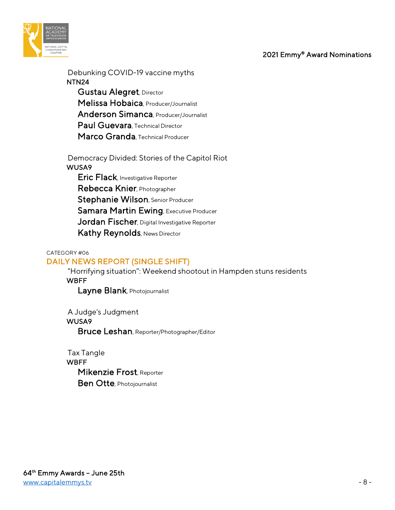

 Debunking COVID-19 vaccine myths NTN24 Gustau Alegret, Director Melissa Hobaica, Producer/Journalist Anderson Simanca, Producer/Journalist Paul Guevara, Technical Director Marco Granda, Technical Producer

 Democracy Divided: Stories of the Capitol Riot WUSA9

 Eric Flack, Investigative Reporter Rebecca Knier, Photographer Stephanie Wilson, Senior Producer Samara Martin Ewing, Executive Producer Jordan Fischer, Digital Investigative Reporter Kathy Reynolds, News Director

#### CATEGORY #06

## DAILY NEWS REPORT (SINGLE SHIFT)

 "Horrifying situation": Weekend shootout in Hampden stuns residents **WBFF** 

Layne Blank, Photojournalist

 A Judge's Judgment WUSA9 Bruce Leshan, Reporter/Photographer/Editor

 Tax Tangle **WBFF**  Mikenzie Frost, Reporter Ben Otte, Photojournalist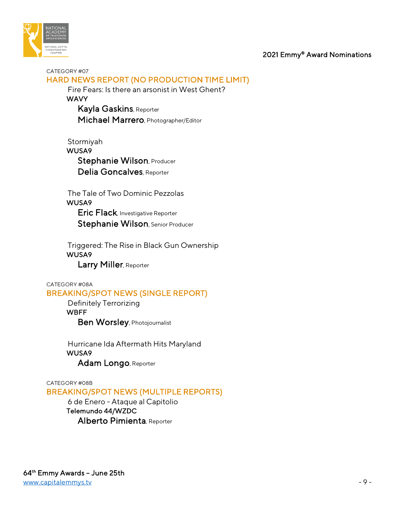

#### CATEGORY #07 HARD NEWS REPORT (NO PRODUCTION TIME LIMIT)

 Fire Fears: Is there an arsonist in West Ghent? **WAVY** Kayla Gaskins, Reporter

Michael Marrero, Photographer/Editor

 Stormiyah WUSA9 Stephanie Wilson, Producer Delia Goncalves, Reporter

 The Tale of Two Dominic Pezzolas WUSA9 Eric Flack, Investigative Reporter Stephanie Wilson, Senior Producer

 Triggered: The Rise in Black Gun Ownership WUSA9 Larry Miller, Reporter

CATEGORY #08A

## BREAKING/SPOT NEWS (SINGLE REPORT)

 Definitely Terrorizing WBFF Ben Worsley, Photojournalist

 Hurricane Ida Aftermath Hits Maryland WUSA9 Adam Longo, Reporter

#### CATEGORY #08B BREAKING/SPOT NEWS (MULTIPLE REPORTS)

 6 de Enero - Ataque al Capitolio Telemundo 44/WZDC Alberto Pimienta, Reporter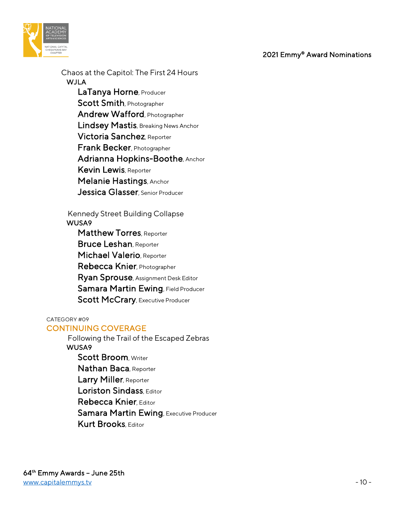

 Chaos at the Capitol: The First 24 Hours WJLA LaTanya Horne, Producer Scott Smith, Photographer Andrew Wafford, Photographer Lindsey Mastis, Breaking News Anchor Victoria Sanchez, Reporter Frank Becker, Photographer Adrianna Hopkins-Boothe, Anchor Kevin Lewis, Reporter Melanie Hastings, Anchor Jessica Glasser, Senior Producer

 Kennedy Street Building Collapse WUSA9

Matthew Torres, Reporter Bruce Leshan, Reporter Michael Valerio, Reporter Rebecca Knier, Photographer Ryan Sprouse, Assignment Desk Editor Samara Martin Ewing, Field Producer Scott McCrary, Executive Producer

CATEGORY #09

## CONTINUING COVERAGE

 Following the Trail of the Escaped Zebras WUSA9 Scott Broom, Writer Nathan Baca, Reporter Larry Miller, Reporter Loriston Sindass, Editor Rebecca Knier, Editor Samara Martin Ewing, Executive Producer Kurt Brooks Fditor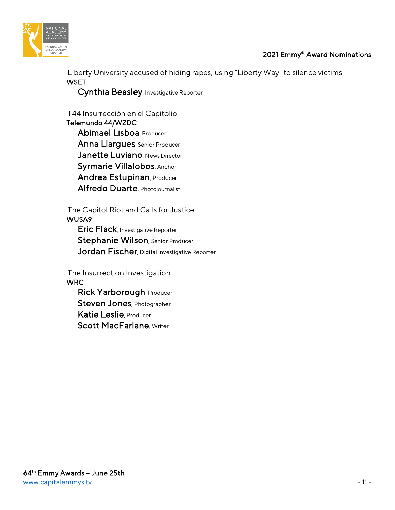



 Liberty University accused of hiding rapes, using "Liberty Way" to silence victims **WSET** 

Cynthia Beasley, Investigative Reporter

 T44 Insurrección en el Capitolio Telemundo 44/WZDC Abimael Lisboa, Producer Anna Llargues, Senior Producer Janette Luviano, News Director Syrmarie Villalobos, Anchor Andrea Estupinan, Producer Alfredo Duarte, Photojournalist

 The Capitol Riot and Calls for Justice WUSA9

Eric Flack, Investigative Reporter Stephanie Wilson, Senior Producer Jordan Fischer, Digital Investigative Reporter

 The Insurrection Investigation WRC

Rick Yarborough, Producer Steven Jones, Photographer Katie Leslie, Producer Scott MacFarlane, Writer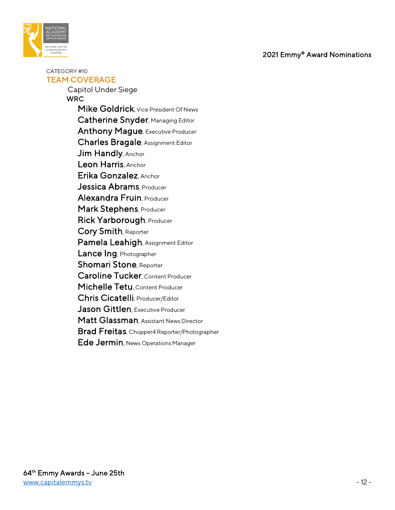

CATEGORY #10 TEAM COVERAGE

> Capitol Under Siege **WRC**  Mike Goldrick, Vice President Of News Catherine Snyder, Managing Editor Anthony Mague, Executive Producer Charles Bragale, Assignment Editor Jim Handly, Anchor Leon Harris, Anchor Erika Gonzalez, Anchor Jessica Abrams, Producer Alexandra Fruin, Producer Mark Stephens, Producer Rick Yarborough, Producer Cory Smith, Reporter Pamela Leahigh, Assignment Editor Lance Ing, Photographer Shomari Stone, Reporter Caroline Tucker, Content Producer Michelle Tetu, Content Producer Chris Cicatelli, Producer/Editor Jason Gittlen, Executive Producer Matt Glassman, Assistant News Director Brad Freitas, Chopper4 Reporter/Photographer Ede Jermin, News Operations Manager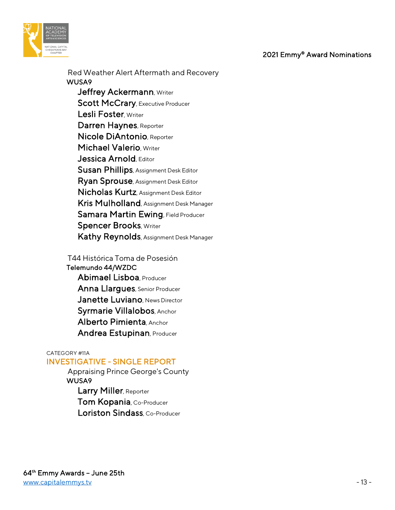

 Red Weather Alert Aftermath and Recovery WUSA9 Jeffrey Ackermann, Writer Scott McCrary, Executive Producer Lesli Foster, Writer Darren Haynes, Reporter Nicole DiAntonio, Reporter Michael Valerio, Writer Jessica Arnold, Editor Susan Phillips, Assignment Desk Editor Ryan Sprouse, Assignment Desk Editor Nicholas Kurtz, Assignment Desk Editor Kris Mulholland, Assignment Desk Manager Samara Martin Ewing, Field Producer **Spencer Brooks, Writer** Kathy Reynolds, Assignment Desk Manager

 T44 Histórica Toma de Posesión Telemundo 44/WZDC Abimael Lisboa, Producer Anna Llargues, Senior Producer Janette Luviano, News Director Syrmarie Villalobos, Anchor Alberto Pimienta, Anchor Andrea Estupinan, Producer

#### CATEGORY #11A INVESTIGATIVE - SINGLE REPORT

 Appraising Prince George's County WUSA9 Larry Miller, Reporter Tom Kopania, Co-Producer Loriston Sindass Co-Producer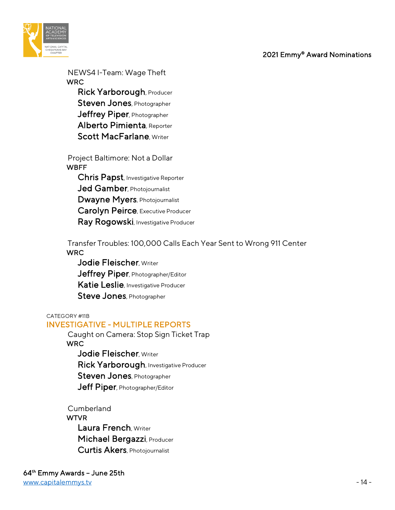

 NEWS4 I-Team: Wage Theft WRC

 Rick Yarborough, Producer Steven Jones, Photographer Jeffrey Piper, Photographer Alberto Pimienta, Reporter Scott MacFarlane, Writer

 Project Baltimore: Not a Dollar **WBFF**  Chris Papst, Investigative Reporter Jed Gamber, Photojournalist Dwayne Myers, Photojournalist Carolyn Peirce, Executive Producer Ray Rogowski, Investigative Producer

 Transfer Troubles: 100,000 Calls Each Year Sent to Wrong 911 Center WRC

Jodie Fleischer, Writer Jeffrey Piper, Photographer/Editor Katie Leslie, Investigative Producer Steve Jones, Photographer

#### CATEGORY #11B

#### INVESTIGATIVE - MULTIPLE REPORTS

 Caught on Camera: Stop Sign Ticket Trap **WRC**  Jodie Fleischer, Writer Rick Yarborough, Investigative Producer Steven Jones, Photographer Jeff Piper, Photographer/Editor

- 
- Cumberland **WTVR**  Laura French, Writer Michael Bergazzi, Producer Curtis Akers, Photojournalist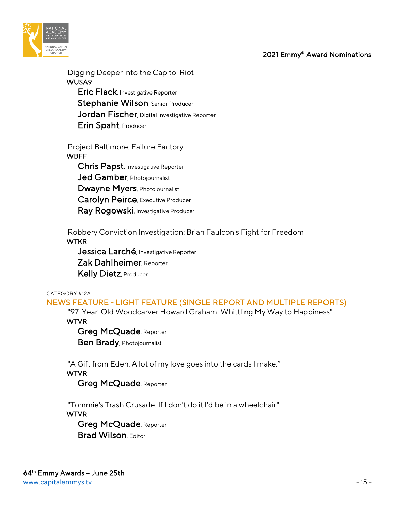

 Digging Deeper into the Capitol Riot WUSA9 **Eric Flack**, Investigative Reporter Stephanie Wilson, Senior Producer Jordan Fischer, Digital Investigative Reporter Erin Spaht, Producer

 Project Baltimore: Failure Factory WBFF Chris Papst, Investigative Reporter

Jed Gamber, Photojournalist Dwayne Myers, Photojournalist Carolyn Peirce, Executive Producer Ray Rogowski, Investigative Producer

 Robbery Conviction Investigation: Brian Faulcon's Fight for Freedom **WTKR** 

Jessica Larché, Investigative Reporter Zak Dahlheimer, Reporter Kelly Dietz, Producer

CATEGORY #12A

NEWS FEATURE - LIGHT FEATURE (SINGLE REPORT AND MULTIPLE REPORTS)

"97-Year-Old Woodcarver Howard Graham: Whittling My Way to Happiness"

WTVR

 Greg McQuade, Reporter **Ben Brady**, Photojournalist

"A Gift from Eden: A lot of my love goes into the cards I make."

WTVR

Greg McQuade, Reporter

 "Tommie's Trash Crusade: If I don't do it I'd be in a wheelchair" **WTVR** 

 Greg McQuade, Reporter **Brad Wilson**, Editor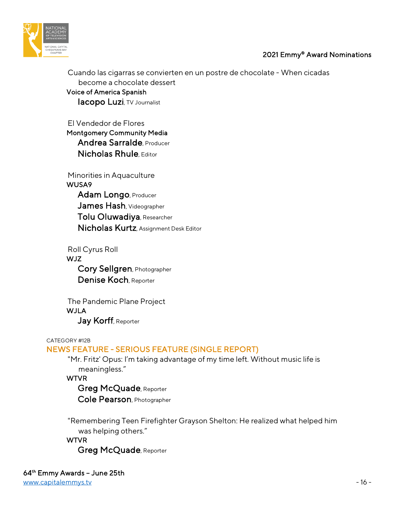

 Cuando las cigarras se convierten en un postre de chocolate - When cicadas become a chocolate dessert Voice of America Spanish Iacopo Luzi, TV Journalist

 El Vendedor de Flores Montgomery Community Media Andrea Sarralde, Producer Nicholas Rhule, Editor

 Minorities in Aquaculture WUSA9 Adam Longo, Producer James Hash, Videographer Tolu Oluwadiya, Researcher Nicholas Kurtz, Assignment Desk Editor

 Roll Cyrus Roll WJZ Cory Sellgren, Photographer Denise Koch, Reporter

 The Pandemic Plane Project **WJLA** Jay Korff, Reporter

#### CATEGORY #12B

## NEWS FEATURE - SERIOUS FEATURE (SINGLE REPORT)

 "Mr. Fritz' Opus: I'm taking advantage of my time left. Without music life is meaningless."

WTVR

 Greg McQuade, Reporter Cole Pearson, Photographer

 "Remembering Teen Firefighter Grayson Shelton: He realized what helped him was helping others."

**WTVR** Greg McQuade, Reporter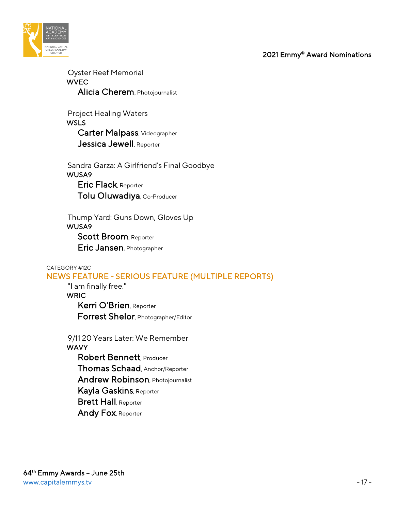

 Oyster Reef Memorial WVEC Alicia Cherem, Photojournalist

 Project Healing Waters **WSLS**  Carter Malpass, Videographer Jessica Jewell, Reporter

 Sandra Garza: A Girlfriend's Final Goodbye WUSA9 Eric Flack, Reporter Tolu Oluwadiya, Co-Producer

 Thump Yard: Guns Down, Gloves Up WUSA9 Scott Broom, Reporter Eric Jansen, Photographer

#### CATEGORY #12C NEWS FEATURE - SERIOUS FEATURE (MULTIPLE REPORTS)

 "I am finally free." **WRIC**  Kerri O'Brien, Reporter Forrest Shelor, Photographer/Editor

 9/11 20 Years Later: We Remember **WAVY**  Robert Bennett, Producer Thomas Schaad, Anchor/Reporter Andrew Robinson, Photojournalist Kayla Gaskins, Reporter Brett Hall, Reporter Andy Fox, Reporter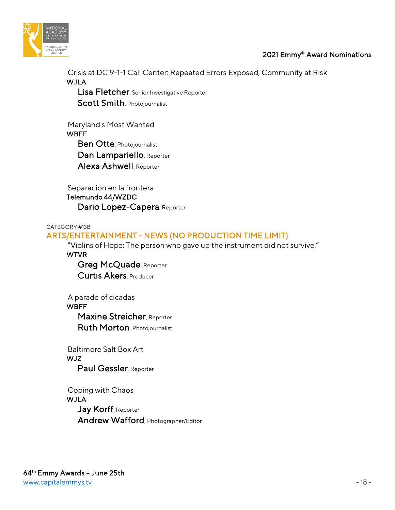

 Crisis at DC 9-1-1 Call Center: Repeated Errors Exposed, Community at Risk WJLA

Lisa Fletcher, Senior Investigative Reporter Scott Smith, Photojournalist

 Maryland's Most Wanted **WBFF**  Ben Otte, Photojournalist Dan Lampariello, Reporter Alexa Ashwell, Reporter

 Separacion en la frontera Telemundo 44/WZDC Dario Lopez-Capera, Reporter

CATEGORY #13B

## ARTS/ENTERTAINMENT - NEWS (NO PRODUCTION TIME LIMIT)

"Violins of Hope: The person who gave up the instrument did not survive."

WTVR

 Greg McQuade, Reporter Curtis Akers, Producer

 A parade of cicadas **WBFF**  Maxine Streicher, Reporter Ruth Morton, Photojournalist

 Baltimore Salt Box Art WJZ Paul Gessler, Reporter

 Coping with Chaos **WJLA** Jay Korff, Reporter Andrew Wafford, Photographer/Editor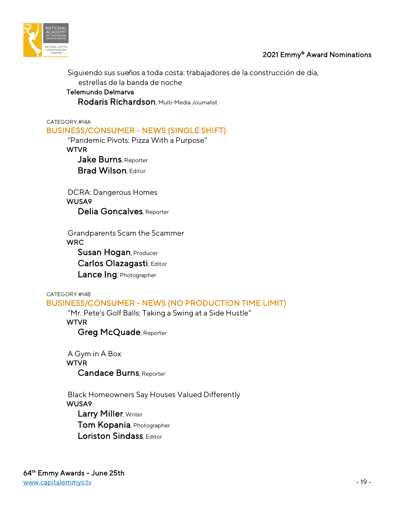

 Siguiendo sus sueños a toda costa: trabajadores de la construcción de día, estrellas de la banda de noche Telemundo Delmarva

Rodaris Richardson, Multi-Media Journalist

#### CATEGORY #14A BUSINESS/CONSUMER - NEWS (SINGLE SHIFT)

"Pandemic Pivots: Pizza With a Purpose"

WTVR

Jake Burns, Reporter **Brad Wilson, Editor** 

 DCRA: Dangerous Homes WUSA9 Delia Goncalves, Reporter

 Grandparents Scam the Scammer WRC

Susan Hogan, Producer

Carlos Olazagasti, Editor

Lance Ing, Photographer

CATEGORY #14B BUSINESS/CONSUMER - NEWS (NO PRODUCTION TIME LIMIT)

"Mr. Pete's Golf Balls: Taking a Swing at a Side Hustle"

WTVR

Greg McQuade, Reporter

 A Gym in A Box **WTVR** Candace Burns, Reporter

 Black Homeowners Say Houses Valued Differently WUSA9 Larry Miller, Writer Tom Kopania, Photographer Loriston Sindass, Editor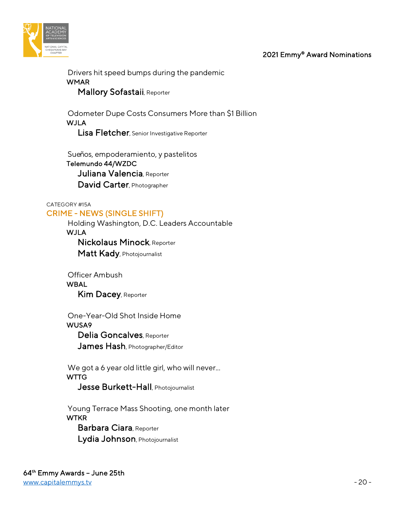



 Drivers hit speed bumps during the pandemic WMAR Mallory Sofastaii, Reporter

 Odometer Dupe Costs Consumers More than \$1 Billion **WJLA** Lisa Fletcher, Senior Investigative Reporter

 Sueños, empoderamiento, y pastelitos Telemundo 44/WZDC Juliana Valencia, Reporter David Carter, Photographer

## CATEGORY #15A CRIME - NEWS (SINGLE SHIFT)

 Holding Washington, D.C. Leaders Accountable **WJLA**  Nickolaus Minock, Reporter Matt Kady, Photojournalist

**WBAL** Kim Dacey, Reporter

Officer Ambush

 One-Year-Old Shot Inside Home WUSA9

 Delia Goncalves, Reporter James Hash, Photographer/Editor

We got a 6 year old little girl, who will never... **WTTG** 

Jesse Burkett-Hall, Photojournalist

 Young Terrace Mass Shooting, one month later **WTKR**  Barbara Ciara, Reporter Lydia Johnson, Photojournalist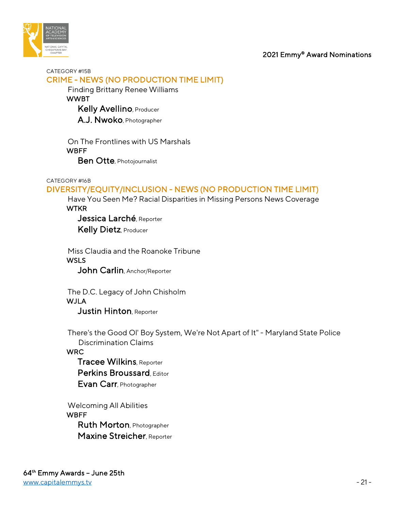

CATEGORY #15B CRIME - NEWS (NO PRODUCTION TIME LIMIT)

Finding Brittany Renee Williams

**WWBT** 

Kelly Avellino, Producer

A.J. Nwoko, Photographer

 On The Frontlines with US Marshals **WBFF** Ben Otte, Photojournalist

#### CATEGORY #16B

## DIVERSITY/EQUITY/INCLUSION - NEWS (NO PRODUCTION TIME LIMIT)

 Have You Seen Me? Racial Disparities in Missing Persons News Coverage **WTKR** 

Jessica Larché, Reporter Kelly Dietz, Producer

 Miss Claudia and the Roanoke Tribune **WSLS** 

John Carlin, Anchor/Reporter

 The D.C. Legacy of John Chisholm WJLA Justin Hinton, Reporter

 There's the Good Ol' Boy System, We're Not Apart of It" - Maryland State Police Discrimination Claims

WRC

 Tracee Wilkins, Reporter Perkins Broussard, Editor Evan Carr, Photographer

 Welcoming All Abilities **WBFF**  Ruth Morton, Photographer Maxine Streicher, Reporter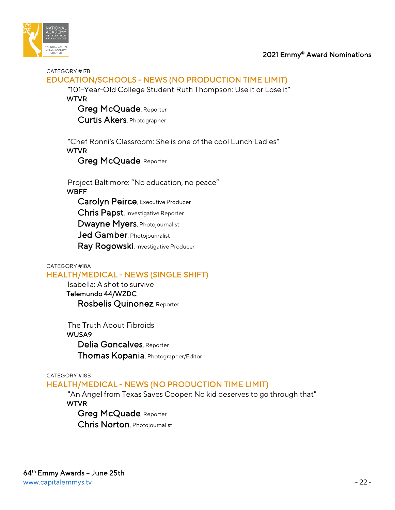

#### CATEGORY #17B

## EDUCATION/SCHOOLS - NEWS (NO PRODUCTION TIME LIMIT)

 "101-Year-Old College Student Ruth Thompson: Use it or Lose it" WTVR

 Greg McQuade, Reporter Curtis Akers, Photographer

 "Chef Ronni's Classroom: She is one of the cool Lunch Ladies" WTVR

Greg McQuade, Reporter

 Project Baltimore: "No education, no peace" WBFF

Carolyn Peirce, Executive Producer

Chris Papst, Investigative Reporter

Dwayne Myers, Photojournalist

Jed Gamber, Photojournalist

Ray Rogowski, Investigative Producer

#### CATEGORY #18A

#### HEALTH/MEDICAL - NEWS (SINGLE SHIFT)

 Isabella: A shot to survive Telemundo 44/WZDC Rosbelis Quinonez, Reporter

 The Truth About Fibroids WUSA9 Delia Goncalves, Reporter Thomas Kopania, Photographer/Editor

#### CATEGORY #18B

#### HEALTH/MEDICAL - NEWS (NO PRODUCTION TIME LIMIT)

 "An Angel from Texas Saves Cooper: No kid deserves to go through that" WTVR

 Greg McQuade, Reporter Chris Norton, Photojournalist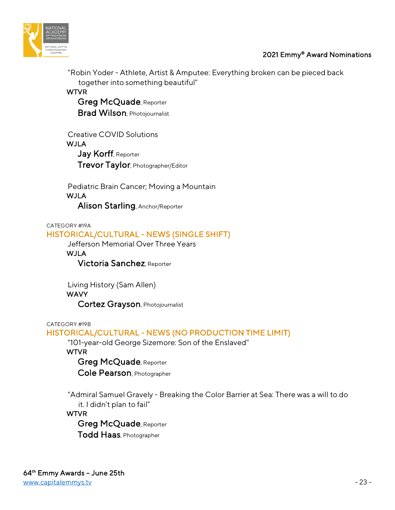



 "Robin Yoder - Athlete, Artist & Amputee: Everything broken can be pieced back together into something beautiful"

WTVR

 Greg McQuade, Reporter Brad Wilson, Photojournalist

 Creative COVID Solutions WJLA Jay Korff, Reporter Trevor Taylor, Photographer/Editor

 Pediatric Brain Cancer; Moving a Mountain **WJLA** Alison Starling, Anchor/Reporter

CATEGORY #19A

## HISTORICAL/CULTURAL - NEWS (SINGLE SHIFT)

Jefferson Memorial Over Three Years

WJLA

Victoria Sanchez, Reporter

Living History (Sam Allen)

## WAVY

Cortez Grayson, Photojournalist

CATEGORY #19B

## HISTORICAL/CULTURAL - NEWS (NO PRODUCTION TIME LIMIT)

"101-year-old George Sizemore: Son of the Enslaved"

WTVR

Greg McQuade, Reporter

Cole Pearson, Photographer

 "Admiral Samuel Gravely - Breaking the Color Barrier at Sea: There was a will to do it. I didn't plan to fail"

## WTVR

Greg McQuade, Reporter

Todd Haas, Photographer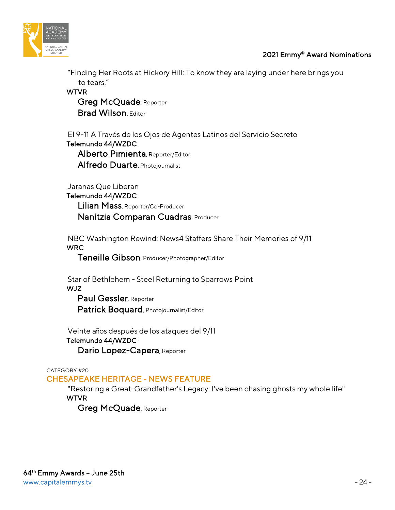



 "Finding Her Roots at Hickory Hill: To know they are laying under here brings you to tears."

**WTVR**  Greg McQuade, Reporter **Brad Wilson, Editor** 

 El 9-11 A Través de los Ojos de Agentes Latinos del Servicio Secreto Telemundo 44/WZDC Alberto Pimienta, Reporter/Editor Alfredo Duarte, Photojournalist

Jaranas Que Liberan

Telemundo 44/WZDC

 Lilian Mass, Reporter/Co-Producer Nanitzia Comparan Cuadras, Producer

 NBC Washington Rewind: News4 Staffers Share Their Memories of 9/11 WRC

Teneille Gibson, Producer/Photographer/Editor

 Star of Bethlehem - Steel Returning to Sparrows Point WJZ Paul Gessler, Reporter

Patrick Boquard, Photojournalist/Editor

 Veinte años después de los ataques del 9/11 Telemundo 44/WZDC Dario Lopez-Capera, Reporter

CATEGORY #20

## CHESAPEAKE HERITAGE - NEWS FEATURE

 "Restoring a Great-Grandfather's Legacy: I've been chasing ghosts my whole life" **WTVR** 

Greg McQuade, Reporter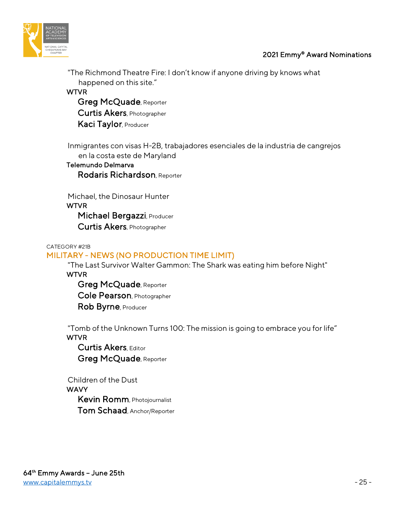



"The Richmond Theatre Fire: I don't know if anyone driving by knows what

happened on this site." WTVR

 Greg McQuade, Reporter Curtis Akers, Photographer Kaci Taylor, Producer

 Inmigrantes con visas H-2B, trabajadores esenciales de la industria de cangrejos en la costa este de Maryland

## Telemundo Delmarva Rodaris Richardson, Reporter

 Michael, the Dinosaur Hunter **WTVR** Michael Bergazzi, Producer Curtis Akers, Photographer

## CATEGORY #21B

## MILITARY - NEWS (NO PRODUCTION TIME LIMIT)

 "The Last Survivor Walter Gammon: The Shark was eating him before Night" WTVR

 Greg McQuade, Reporter Cole Pearson, Photographer Rob Byrne, Producer

 "Tomb of the Unknown Turns 100: The mission is going to embrace you for life" WTVR

 Curtis Akers, Editor Greg McQuade, Reporter

 Children of the Dust **WAVY**  Kevin Romm, Photojournalist Tom Schaad, Anchor/Reporter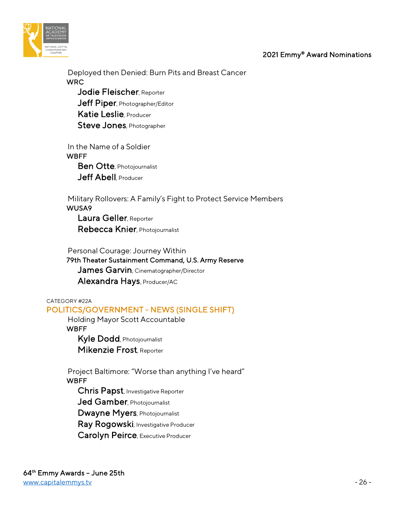



 Deployed then Denied: Burn Pits and Breast Cancer **WRC** Jodie Fleischer, Reporter Jeff Piper, Photographer/Editor

Katie Leslie, Producer

Steve Jones, Photographer

 In the Name of a Soldier **WBFF**  Ben Otte, Photojournalist Jeff Abell Producer

 Military Rollovers: A Family's Fight to Protect Service Members WUSA9 Laura Geller, Reporter

Rebecca Knier, Photojournalist

 Personal Courage: Journey Within 79th Theater Sustainment Command, U.S. Army Reserve James Garvin, Cinematographer/Director

Alexandra Hays, Producer/AC

CATEGORY #22A

## POLITICS/GOVERNMENT - NEWS (SINGLE SHIFT)

 Holding Mayor Scott Accountable **WBFF** 

 Kyle Dodd, Photojournalist Mikenzie Frost, Reporter

 Project Baltimore: "Worse than anything I've heard" **WBFF** 

Chris Papst, Investigative Reporter

Jed Gamber, Photojournalist

Dwayne Myers, Photojournalist

Ray Rogowski, Investigative Producer

Carolyn Peirce, Executive Producer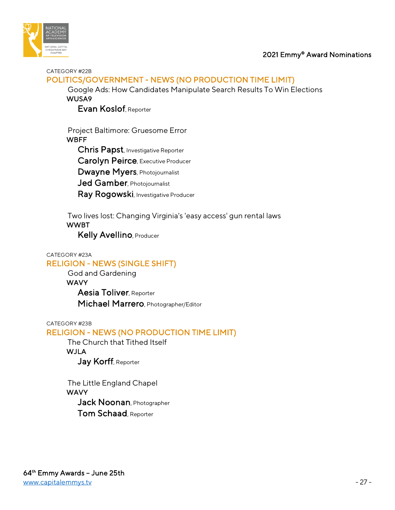



CATEGORY #22B

## POLITICS/GOVERNMENT - NEWS (NO PRODUCTION TIME LIMIT)

 Google Ads: How Candidates Manipulate Search Results To Win Elections WUSA9

Evan Koslof, Reporter

 Project Baltimore: Gruesome Error **WBFF**  Chris Papst, Investigative Reporter Carolyn Peirce, Executive Producer Dwayne Myers, Photojournalist Jed Gamber, Photojournalist Ray Rogowski, Investigative Producer

 Two lives lost: Changing Virginia's 'easy access' gun rental laws WWBT

Kelly Avellino, Producer

#### CATEGORY #23A

## RELIGION - NEWS (SINGLE SHIFT)

 God and Gardening **WAVY**  Aesia Toliver, Reporter Michael Marrero, Photographer/Editor

CATEGORY #23B

## RELIGION - NEWS (NO PRODUCTION TIME LIMIT)

 The Church that Tithed Itself WJLA Jay Korff, Reporter

 The Little England Chapel WAVY Jack Noonan, Photographer Tom Schaad, Reporter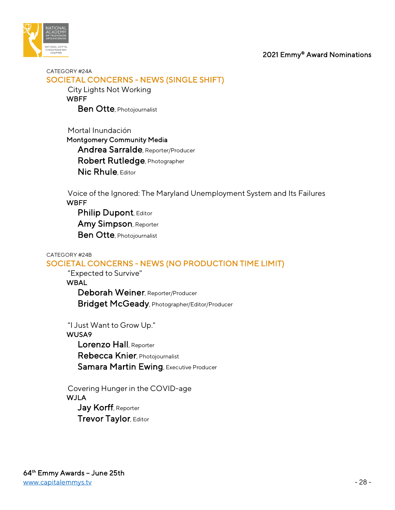



CATEGORY #24A SOCIETAL CONCERNS - NEWS (SINGLE SHIFT)

> City Lights Not Working **WBFF Ben Otte**, Photojournalist

 Mortal Inundación Montgomery Community Media Andrea Sarralde, Reporter/Producer Robert Rutledge, Photographer Nic Rhule, Editor

 Voice of the Ignored: The Maryland Unemployment System and Its Failures **WBFF** 

Philip Dupont, Editor Amy Simpson, Reporter Ben Otte, Photojournalist

## CATEGORY #24B SOCIETAL CONCERNS - NEWS (NO PRODUCTION TIME LIMIT)

 "Expected to Survive" WBAL

> Deborah Weiner, Reporter/Producer Bridget McGeady, Photographer/Editor/Producer

"I Just Want to Grow Up."

## WUSA9

 Lorenzo Hall, Reporter Rebecca Knier, Photojournalist Samara Martin Ewing, Executive Producer

 Covering Hunger in the COVID-age WJLA Jay Korff, Reporter **Trevor Taylor, Editor**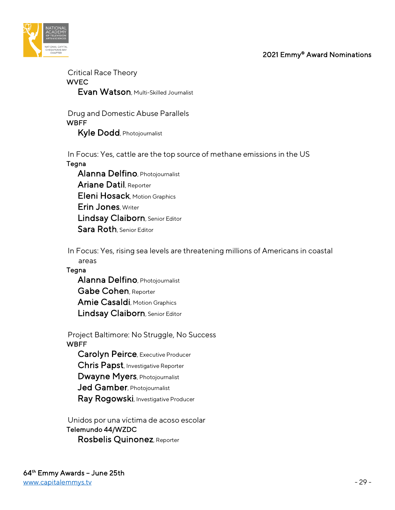

 Critical Race Theory **WVEC** Evan Watson, Multi-Skilled Journalist

 Drug and Domestic Abuse Parallels **WBFF** Kyle Dodd, Photojournalist

In Focus: Yes, cattle are the top source of methane emissions in the US

#### Tegna

 Alanna Delfino, Photojournalist Ariane Datil, Reporter Eleni Hosack, Motion Graphics Erin Jones, Writer Lindsay Claiborn, Senior Editor Sara Roth, Senior Editor

 In Focus: Yes, rising sea levels are threatening millions of Americans in coastal areas

## **Tegna**

 Alanna Delfino, Photojournalist Gabe Cohen, Reporter Amie Casaldi, Motion Graphics Lindsay Claiborn, Senior Editor

- Project Baltimore: No Struggle, No Success **WBFF** 
	- Carolyn Peirce, Executive Producer
	- Chris Papst, Investigative Reporter
	- Dwayne Myers, Photojournalist
	- Jed Gamber, Photojournalist
	- Ray Rogowski, Investigative Producer

 Unidos por una víctima de acoso escolar Telemundo 44/WZDC Rosbelis Quinonez, Reporter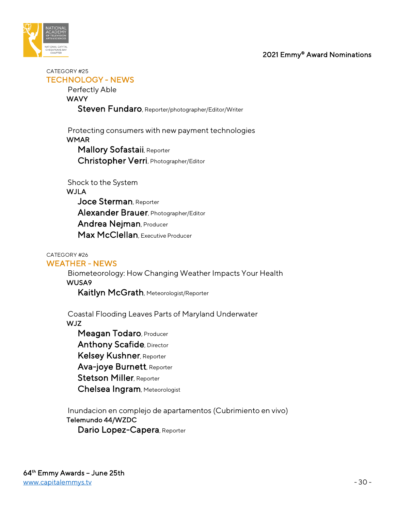

CATEGORY #25 TECHNOLOGY - NEWS

Perfectly Able

**WAVY** 

Steven Fundaro, Reporter/photographer/Editor/Writer

 Protecting consumers with new payment technologies **WMAR**  Mallory Sofastaii, Reporter Christopher Verri, Photographer/Editor

Shock to the System

## **WJLA**

Joce Sterman, Reporter Alexander Brauer, Photographer/Editor Andrea Nejman, Producer Max McClellan, Executive Producer

## CATEGORY #26

## WEATHER - NEWS

 Biometeorology: How Changing Weather Impacts Your Health WUSA9

Kaitlyn McGrath, Meteorologist/Reporter

 Coastal Flooding Leaves Parts of Maryland Underwater WJZ

 Meagan Todaro, Producer Anthony Scafide, Director Kelsey Kushner, Reporter Ava-joye Burnett, Reporter **Stetson Miller, Reporter** Chelsea Ingram, Meteorologist

 Inundacion en complejo de apartamentos (Cubrimiento en vivo) Telemundo 44/WZDC Dario Lopez-Capera, Reporter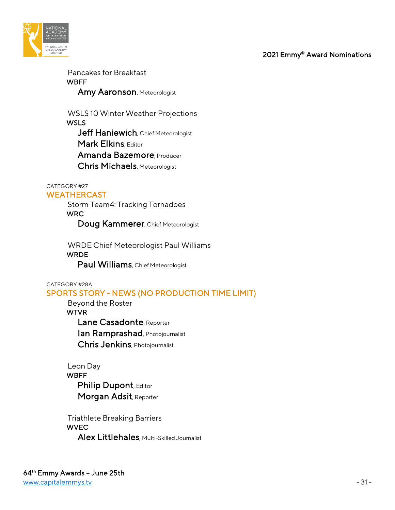

 Pancakes for Breakfast **WBFF** Amy Aaronson, Meteorologist

 WSLS 10 Winter Weather Projections **WSLS** Jeff Haniewich, Chief Meteorologist Mark Elkins, Editor Amanda Bazemore, Producer Chris Michaels, Meteorologist

#### CATEGORY #27 WEATHERCAST

 Storm Team4: Tracking Tornadoes WRC Doug Kammerer, Chief Meteorologist

 WRDE Chief Meteorologist Paul Williams WRDE Paul Williams, Chief Meteorologist

## CATEGORY #28A

## SPORTS STORY - NEWS (NO PRODUCTION TIME LIMIT)

 Beyond the Roster WTVR Lane Casadonte, Reporter Ian Ramprashad, Photojournalist Chris Jenkins, Photojournalist

## Leon Day WBFF Philip Dupont, Editor Morgan Adsit, Reporter

 Triathlete Breaking Barriers **WVEC** Alex Littlehales, Multi-Skilled Journalist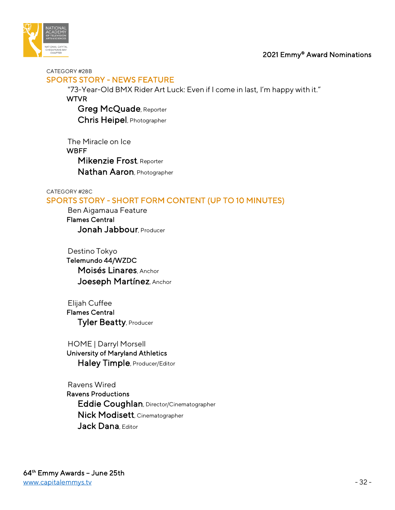

CATEGORY #28B

## SPORTS STORY - NEWS FEATURE

"73-Year-Old BMX Rider Art Luck: Even if I come in last, I'm happy with it."

**WTVR** 

 Greg McQuade, Reporter Chris Heipel, Photographer

 The Miracle on Ice **WBFF**  Mikenzie Frost, Reporter Nathan Aaron, Photographer

#### CATEGORY #28C SPORTS STORY - SHORT FORM CONTENT (UP TO 10 MINUTES)

 Ben Aigamaua Feature Flames Central Jonah Jabbour, Producer

 Destino Tokyo Telemundo 44/WZDC Moisés Linares, Anchor Joeseph Martínez, Anchor

 Elijah Cuffee Flames Central Tyler Beatty, Producer

 HOME | Darryl Morsell University of Maryland Athletics Haley Timple, Producer/Editor

 Ravens Wired Ravens Productions Eddie Coughlan, Director/Cinematographer Nick Modisett, Cinematographer Jack Dana Fditor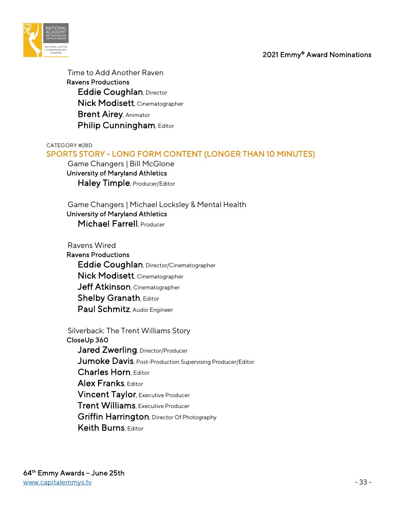

 Time to Add Another Raven Ravens Productions Eddie Coughlan, Director Nick Modisett, Cinematographer Brent Airey, Animator Philip Cunningham, Editor

CATEGORY #28D

## SPORTS STORY - LONG FORM CONTENT (LONGER THAN 10 MINUTES)

 Game Changers | Bill McGlone University of Maryland Athletics Haley Timple, Producer/Editor

 Game Changers | Michael Locksley & Mental Health University of Maryland Athletics

Michael Farrell, Producer

 Ravens Wired Ravens Productions Eddie Coughlan, Director/Cinematographer Nick Modisett, Cinematographer Jeff Atkinson, Cinematographer **Shelby Granath, Editor** Paul Schmitz, Audio Engineer

 Silverback: The Trent Williams Story CloseUp 360 Jared Zwerling, Director/Producer Jumoke Davis, Post-Production Supervising Producer/Editor Charles Horn, Editor Alex Franks, Editor Vincent Taylor, Executive Producer Trent Williams, Executive Producer Griffin Harrington, Director Of Photography Keith Burns, Editor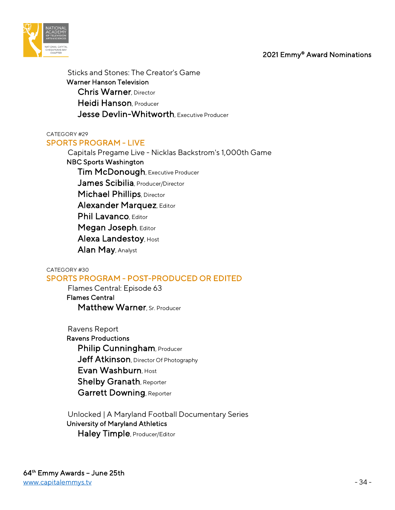

 Sticks and Stones: The Creator's Game Warner Hanson Television Chris Warner, Director Heidi Hanson, Producer Jesse Devlin-Whitworth, Executive Producer

CATEGORY #29 SPORTS PROGRAM - LIVE

> Capitals Pregame Live - Nicklas Backstrom's 1,000th Game NBC Sports Washington Tim McDonough, Executive Producer James Scibilia, Producer/Director **Michael Phillips**, Director Alexander Marquez, Editor Phil Lavanco, Editor Megan Joseph, Editor Alexa Landestoy, Host Alan May, Analyst

CATEGORY #30 SPORTS PROGRAM - POST-PRODUCED OR EDITED

> Flames Central: Episode 63 Flames Central Matthew Warner, Sr. Producer

 Ravens Report Ravens Productions Philip Cunningham, Producer Jeff Atkinson, Director Of Photography Evan Washburn, Host Shelby Granath, Reporter Garrett Downing, Reporter

 Unlocked | A Maryland Football Documentary Series University of Maryland Athletics Haley Timple, Producer/Editor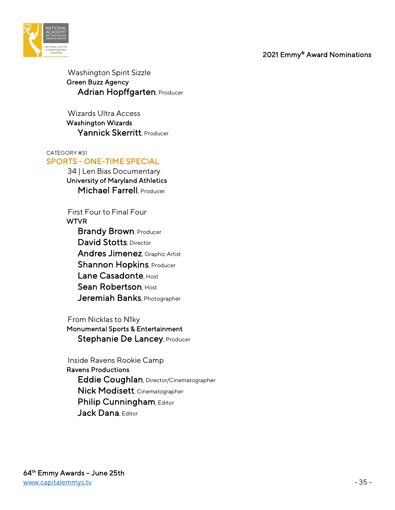

 Washington Spirit Sizzle Green Buzz Agency Adrian Hopffgarten, Producer

 Wizards Ultra Access Washington Wizards Yannick Skerritt, Producer

#### CATEGORY #31

## SPORTS - ONE-TIME SPECIAL

 34 | Len Bias Documentary University of Maryland Athletics Michael Farrell, Producer

First Four to Final Four

WTVR

**Brandy Brown, Producer** David Stotts, Director Andres Jimenez, Graphic Artist **Shannon Hopkins, Producer** Lane Casadonte, Host Sean Robertson, Host Jeremiah Banks, Photographer

From Nicklas to N1ky

 Monumental Sports & Entertainment Stephanie De Lancey, Producer

 Inside Ravens Rookie Camp Ravens Productions Eddie Coughlan, Director/Cinematographer Nick Modisett, Cinematographer Philip Cunningham, Editor Jack Dana Fditor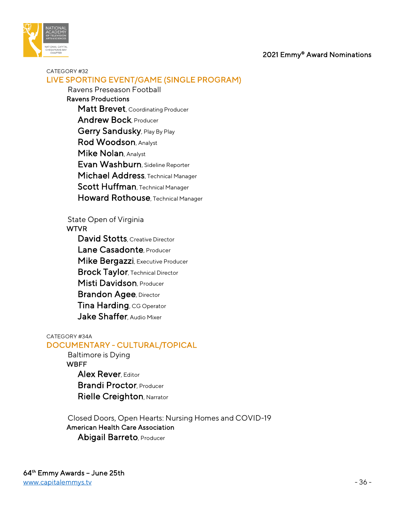

#### CATEGORY #32 LIVE SPORTING EVENT/GAME (SINGLE PROGRAM)

 Ravens Preseason Football Ravens Productions Matt Brevet, Coordinating Producer Andrew Bock, Producer Gerry Sandusky, Play By Play Rod Woodson, Analyst Mike Nolan, Analyst Evan Washburn, Sideline Reporter Michael Address, Technical Manager Scott Huffman, Technical Manager Howard Rothouse, Technical Manager

State Open of Virginia

WTVR

David Stotts, Creative Director Lane Casadonte, Producer Mike Bergazzi, Executive Producer **Brock Taylor, Technical Director** Misti Davidson, Producer **Brandon Agee, Director** Tina Harding, CG Operator **Jake Shaffer** Audio Mixer

#### CATEGORY #34A

## DOCUMENTARY - CULTURAL/TOPICAL

 Baltimore is Dying **WBFF** Alex Rever, Editor Brandi Proctor, Producer Rielle Creighton, Narrator

 Closed Doors, Open Hearts: Nursing Homes and COVID-19 American Health Care Association Abigail Barreto, Producer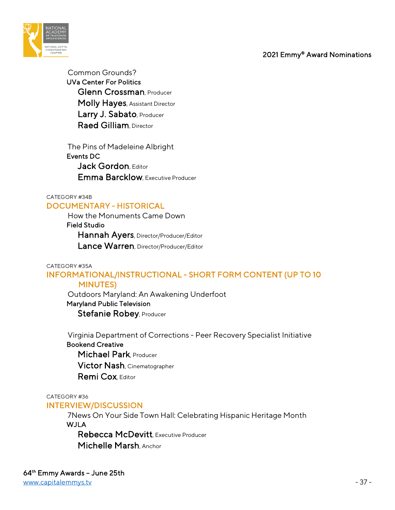

 Common Grounds? UVa Center For Politics Glenn Crossman, Producer Molly Hayes, Assistant Director Larry J. Sabato, Producer Raed Gilliam, Director

 The Pins of Madeleine Albright Events DC Jack Gordon, Editor Emma Barcklow, Executive Producer

### CATEGORY #34B DOCUMENTARY - HISTORICAL

 How the Monuments Came Down Field Studio Hannah Ayers, Director/Producer/Editor Lance Warren, Director/Producer/Editor

### CATEGORY #35A

## INFORMATIONAL/INSTRUCTIONAL - SHORT FORM CONTENT (UP TO 10 MINUTES)

 Outdoors Maryland: An Awakening Underfoot Maryland Public Television Stefanie Robey, Producer

 Virginia Department of Corrections - Peer Recovery Specialist Initiative Bookend Creative Michael Park, Producer Victor Nash, Cinematographer Remi Cox, Editor

CATEGORY #36

### INTERVIEW/DISCUSSION

 7News On Your Side Town Hall: Celebrating Hispanic Heritage Month WJLA

 Rebecca McDevitt, Executive Producer Michelle Marsh, Anchor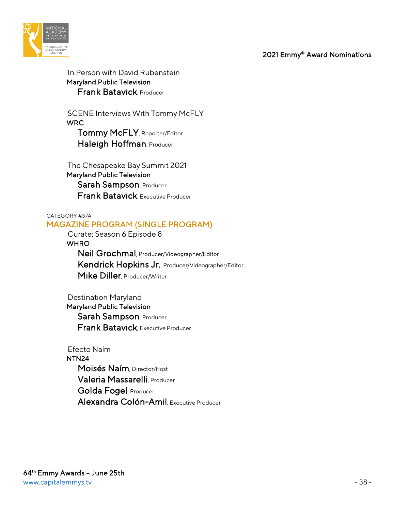

 In Person with David Rubenstein Maryland Public Television Frank Batavick, Producer

 SCENE Interviews With Tommy McFLY WRC Tommy McFLY, Reporter/Editor Haleigh Hoffman, Producer

 The Chesapeake Bay Summit 2021 Maryland Public Television Sarah Sampson, Producer Frank Batavick, Executive Producer

#### CATEGORY #37A MAGAZINE PROGRAM (SINGLE PROGRAM)

 Curate: Season 6 Episode 8 **WHRO**  Neil Grochmal, Producer/Videographer/Editor Kendrick Hopkins Jr., Producer/Videographer/Editor Mike Diller, Producer/Writer

 Destination Maryland Maryland Public Television Sarah Sampson, Producer Frank Batavick, Executive Producer

 Efecto Naím NTN24 Moisés Naím, Director/Host Valeria Massarelli, Producer Golda Fogel, Producer Alexandra Colón-Amil, Executive Producer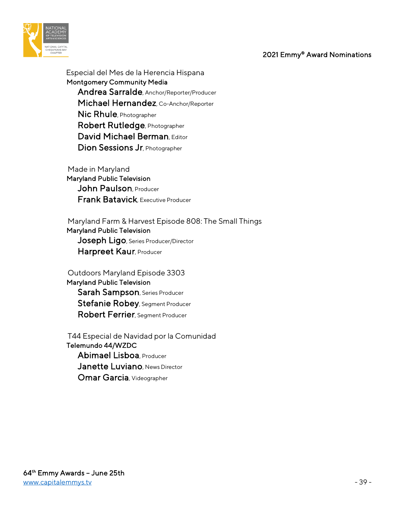

 Especial del Mes de la Herencia Hispana Montgomery Community Media Andrea Sarralde, Anchor/Reporter/Producer Michael Hernandez, Co-Anchor/Reporter Nic Rhule, Photographer Robert Rutledge, Photographer David Michael Berman, Editor Dion Sessions Jr, Photographer

 Made in Maryland Maryland Public Television John Paulson, Producer Frank Batavick, Executive Producer

 Maryland Farm & Harvest Episode 808: The Small Things Maryland Public Television

Joseph Ligo, Series Producer/Director Harpreet Kaur, Producer

 Outdoors Maryland Episode 3303 Maryland Public Television Sarah Sampson, Series Producer Stefanie Robey, Segment Producer Robert Ferrier, Segment Producer

 T44 Especial de Navidad por la Comunidad Telemundo 44/WZDC Abimael Lisboa, Producer Janette Luviano, News Director Omar Garcia, Videographer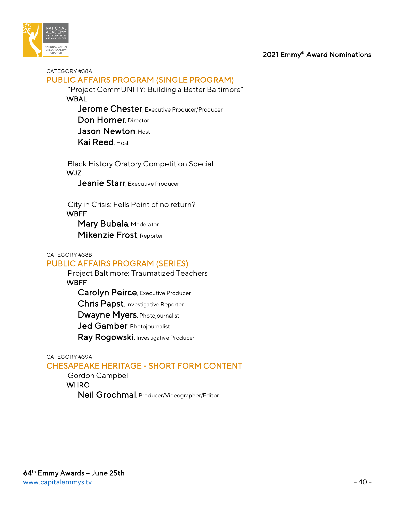

#### CATEGORY #38A PUBLIC AFFAIRS PROGRAM (SINGLE PROGRAM)

 "Project CommUNITY: Building a Better Baltimore" **WBAL** 

Jerome Chester, Executive Producer/Producer Don Horner, Director Jason Newton, Host Kai Reed, Host

 Black History Oratory Competition Special WJZ

Jeanie Starr, Executive Producer

 City in Crisis: Fells Point of no return? WBFF Mary Bubala, Moderator

Mikenzie Frost, Reporter

#### CATEGORY #38B PUBLIC AFFAIRS PROGRAM (SERIES)

 Project Baltimore: Traumatized Teachers **WBFF** Carolyn Peirce, Executive Producer

Chris Papst, Investigative Reporter

Dwayne Myers, Photojournalist

Jed Gamber, Photojournalist

Ray Rogowski, Investigative Producer

CATEGORY #39A

## CHESAPEAKE HERITAGE - SHORT FORM CONTENT

 Gordon Campbell **WHRO** Neil Grochmal, Producer/Videographer/Editor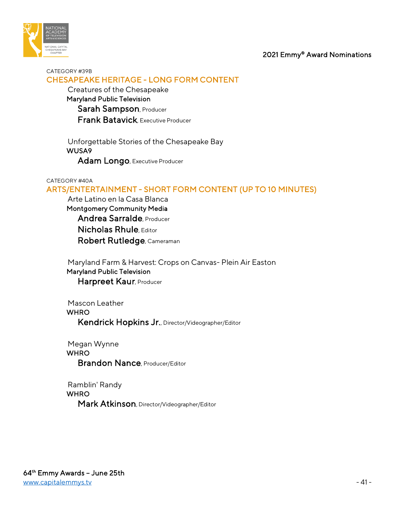

#### CATEGORY #39B CHESAPEAKE HERITAGE - LONG FORM CONTENT

 Creatures of the Chesapeake Maryland Public Television Sarah Sampson, Producer Frank Batavick, Executive Producer

 Unforgettable Stories of the Chesapeake Bay WUSA9 Adam Longo, Executive Producer

#### CATEGORY #40A

## ARTS/ENTERTAINMENT - SHORT FORM CONTENT (UP TO 10 MINUTES)

 Arte Latino en la Casa Blanca Montgomery Community Media Andrea Sarralde, Producer Nicholas Rhule, Editor Robert Rutledge, Cameraman

 Maryland Farm & Harvest: Crops on Canvas- Plein Air Easton Maryland Public Television

Harpreet Kaur, Producer

 Mascon Leather **WHRO** 

Kendrick Hopkins Jr., Director/Videographer/Editor

 Megan Wynne **WHRO** Brandon Nance, Producer/Editor

 Ramblin' Randy **WHRO** Mark Atkinson, Director/Videographer/Editor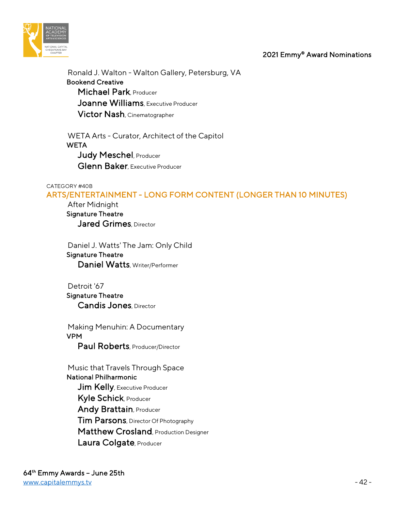

 Ronald J. Walton - Walton Gallery, Petersburg, VA Bookend Creative Michael Park, Producer Joanne Williams, Executive Producer Victor Nash, Cinematographer

 WETA Arts - Curator, Architect of the Capitol **WETA** Judy Meschel, Producer Glenn Baker, Executive Producer

#### CATEGORY #40B

ARTS/ENTERTAINMENT - LONG FORM CONTENT (LONGER THAN 10 MINUTES)

 After Midnight Signature Theatre Jared Grimes, Director

 Daniel J. Watts' The Jam: Only Child Signature Theatre Daniel Watts, Writer/Performer

 Detroit '67 Signature Theatre Candis Jones, Director

 Making Menuhin: A Documentary VPM Paul Roberts, Producer/Director

 Music that Travels Through Space National Philharmonic Jim Kelly, Executive Producer Kyle Schick, Producer Andy Brattain, Producer **Tim Parsons**, Director Of Photography Matthew Crosland, Production Designer Laura Colgate, Producer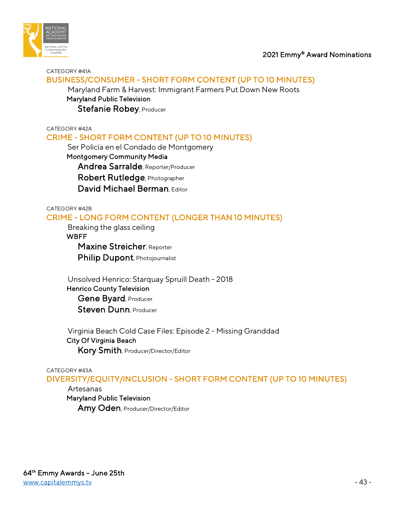

#### CATEGORY #41A BUSINESS/CONSUMER - SHORT FORM CONTENT (UP TO 10 MINUTES)

 Maryland Farm & Harvest: Immigrant Farmers Put Down New Roots Maryland Public Television Stefanie Robey, Producer

CATEGORY #42A

## CRIME - SHORT FORM CONTENT (UP TO 10 MINUTES)

Ser Policía en el Condado de Montgomery

 Montgomery Community Media Andrea Sarralde, Reporter/Producer Robert Rutledge, Photographer David Michael Berman, Editor

CATEGORY #42B

## CRIME - LONG FORM CONTENT (LONGER THAN 10 MINUTES)

Breaking the glass ceiling

#### **WBFF**

Maxine Streicher, Reporter

Philip Dupont, Photojournalist

 Unsolved Henrico: Starquay Spruill Death - 2018 Henrico County Television Gene Byard, Producer Steven Dunn, Producer

 Virginia Beach Cold Case Files: Episode 2 - Missing Granddad City Of Virginia Beach Kory Smith, Producer/Director/Editor

#### CATEGORY #43A

DIVERSITY/EQUITY/INCLUSION - SHORT FORM CONTENT (UP TO 10 MINUTES)

### Artesanas

Maryland Public Television

Amy Oden, Producer/Director/Editor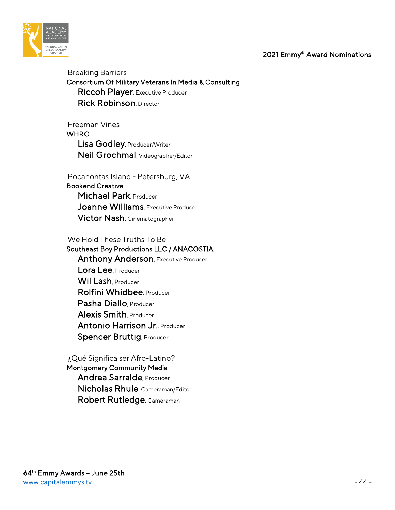

 Breaking Barriers Consortium Of Military Veterans In Media & Consulting Riccoh Player, Executive Producer Rick Robinson, Director

 Freeman Vines **WHRO**  Lisa Godley, Producer/Writer Neil Grochmal, Videographer/Editor

 Pocahontas Island - Petersburg, VA Bookend Creative Michael Park Producer Joanne Williams, Executive Producer Victor Nash, Cinematographer

 We Hold These Truths To Be Southeast Boy Productions LLC / ANACOSTIA Anthony Anderson, Executive Producer Lora Lee Producer Wil Lash, Producer Rolfini Whidbee Producer Pasha Diallo, Producer Alexis Smith, Producer Antonio Harrison Jr., Producer Spencer Bruttig, Producer

 ¿Qué Significa ser Afro-Latino? Montgomery Community Media Andrea Sarralde, Producer Nicholas Rhule, Cameraman/Editor Robert Rutledge, Cameraman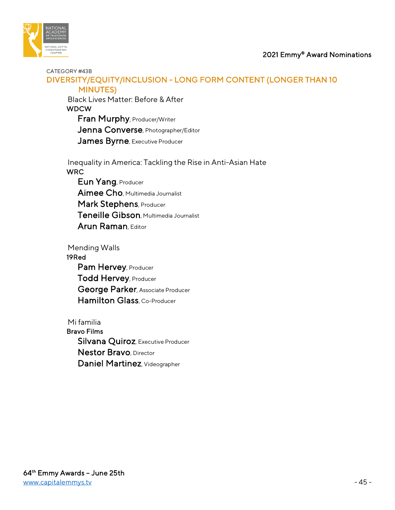

#### CATEGORY #43B

## DIVERSITY/EQUITY/INCLUSION - LONG FORM CONTENT (LONGER THAN 10 MINUTES)

 Black Lives Matter: Before & After WDCW Fran Murphy, Producer/Writer

Jenna Converse, Photographer/Editor James Byrne, Executive Producer

 Inequality in America: Tackling the Rise in Anti-Asian Hate **WRC** 

Eun Yang, Producer Aimee Cho, Multimedia Journalist Mark Stephens, Producer Teneille Gibson, Multimedia Journalist Arun Raman, Editor

 Mending Walls 19Red Pam Hervey, Producer Todd Hervey, Producer George Parker, Associate Producer Hamilton Glass, Co-Producer

 Mi familia Bravo Films Silvana Quiroz, Executive Producer Nestor Bravo, Director Daniel Martinez, Videographer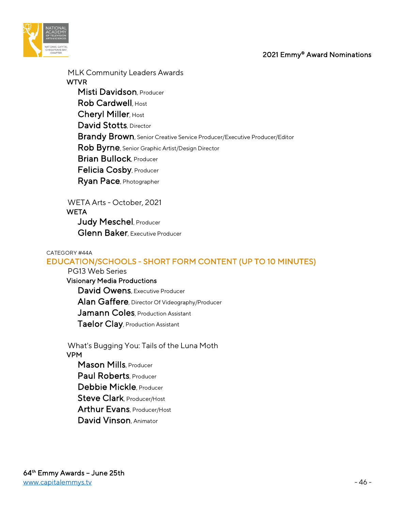

MLK Community Leaders Awards

**WTVR**  Misti Davidson, Producer Rob Cardwell, Host Cheryl Miller, Host David Stotts, Director Brandy Brown, Senior Creative Service Producer/Executive Producer/Editor Rob Byrne, Senior Graphic Artist/Design Director **Brian Bullock, Producer**  Felicia Cosby, Producer Ryan Pace, Photographer

 WETA Arts - October, 2021 **WETA** Judy Meschel, Producer **Glenn Baker**, Executive Producer

#### CATEGORY #44A

## EDUCATION/SCHOOLS - SHORT FORM CONTENT (UP TO 10 MINUTES)

 PG13 Web Series Visionary Media Productions David Owens, Executive Producer Alan Gaffere, Director Of Videography/Producer Jamann Coles, Production Assistant Taelor Clay, Production Assistant

 What's Bugging You: Tails of the Luna Moth VPM Mason Mills, Producer Paul Roberts, Producer Debbie Mickle, Producer

Steve Clark, Producer/Host

Arthur Evans, Producer/Host

David Vinson, Animator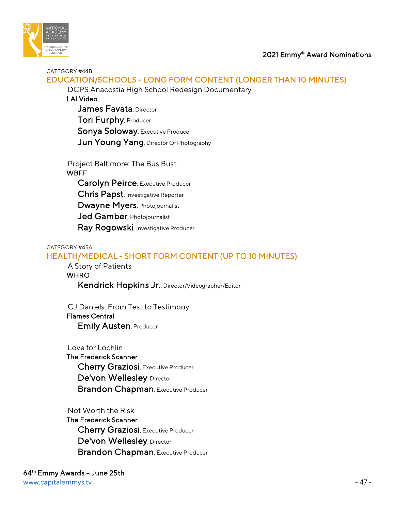



CATEGORY #44B

# EDUCATION/SCHOOLS - LONG FORM CONTENT (LONGER THAN 10 MINUTES)

DCPS Anacostia High School Redesign Documentary

LAI Video

James Favata, Director Tori Furphy, Producer Sonya Soloway, Executive Producer Jun Young Yang, Director Of Photography

 Project Baltimore: The Bus Bust **WBFF**  Carolyn Peirce, Executive Producer Chris Papst, Investigative Reporter Dwayne Myers, Photojournalist Jed Gamber, Photojournalist Ray Rogowski, Investigative Producer

#### CATEGORY #45A

# HEALTH/MEDICAL - SHORT FORM CONTENT (UP TO 10 MINUTES)

A Story of Patients

**WHRO** 

Kendrick Hopkins Jr., Director/Videographer/Editor

 CJ Daniels: From Test to Testimony Flames Central

Emily Austen, Producer

Love for Lochlin

 The Frederick Scanner Cherry Graziosi, Executive Producer De'von Wellesley, Director **Brandon Chapman, Executive Producer** 

Not Worth the Risk

 The Frederick Scanner Cherry Graziosi, Executive Producer De'von Wellesley, Director Brandon Chapman, Executive Producer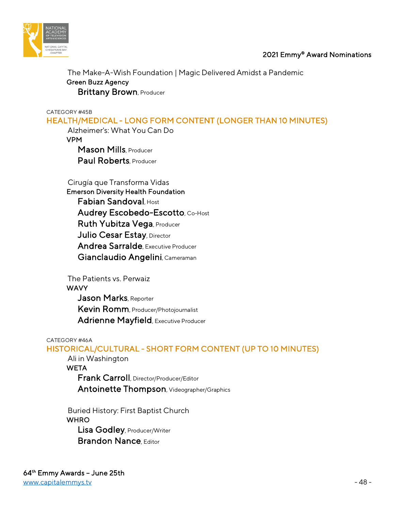

 The Make-A-Wish Foundation | Magic Delivered Amidst a Pandemic Green Buzz Agency **Brittany Brown, Producer** 

CATEGORY #45B

HEALTH/MEDICAL - LONG FORM CONTENT (LONGER THAN 10 MINUTES)

 Alzheimer's: What You Can Do VPM Mason Mills, Producer

Paul Roberts, Producer

Cirugía que Transforma Vidas

 Emerson Diversity Health Foundation Fabian Sandoval, Host Audrey Escobedo-Escotto, Co-Host Ruth Yubitza Vega, Producer Julio Cesar Estay, Director Andrea Sarralde, Executive Producer Gianclaudio Angelini, Cameraman

 The Patients vs. Perwaiz **WAVY** Jason Marks, Reporter Kevin Romm, Producer/Photojournalist Adrienne Mayfield, Executive Producer

### CATEGORY #46A

## HISTORICAL/CULTURAL - SHORT FORM CONTENT (UP TO 10 MINUTES)

Ali in Washington

**WETA**  Frank Carroll, Director/Producer/Editor Antoinette Thompson, Videographer/Graphics

 Buried History: First Baptist Church **WHRO**  Lisa Godley, Producer/Writer Brandon Nance, Editor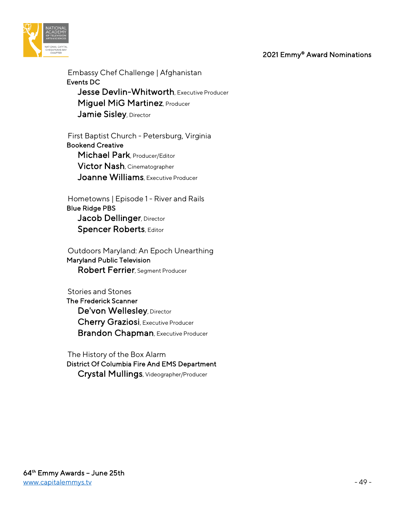

 Embassy Chef Challenge | Afghanistan Events DC Jesse Devlin-Whitworth, Executive Producer Miguel MiG Martinez, Producer Jamie Sisley, Director

 First Baptist Church - Petersburg, Virginia Bookend Creative Michael Park, Producer/Editor Victor Nash, Cinematographer Joanne Williams, Executive Producer

 Hometowns | Episode 1 - River and Rails Blue Ridge PBS Jacob Dellinger, Director Spencer Roberts, Editor

 Outdoors Maryland: An Epoch Unearthing Maryland Public Television Robert Ferrier, Segment Producer

 Stories and Stones The Frederick Scanner De'von Wellesley, Director Cherry Graziosi, Executive Producer Brandon Chapman, Executive Producer

 The History of the Box Alarm District Of Columbia Fire And EMS Department Crystal Mullings, Videographer/Producer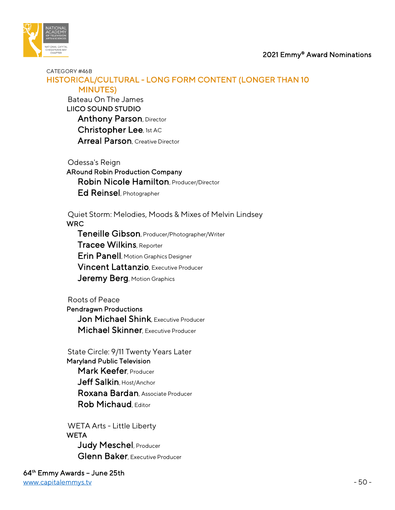

### CATEGORY #46B HISTORICAL/CULTURAL - LONG FORM CONTENT (LONGER THAN 10 MINUTES)

 Bateau On The James LIICO SOUND STUDIO **Anthony Parson, Director** Christopher Lee, 1st AC Arreal Parson, Creative Director

 Odessa's Reign ARound Robin Production Company Robin Nicole Hamilton, Producer/Director Ed Reinsel, Photographer

 Quiet Storm: Melodies, Moods & Mixes of Melvin Lindsey WRC

 Teneille Gibson, Producer/Photographer/Writer Tracee Wilkins, Reporter Erin Panell, Motion Graphics Designer Vincent Lattanzio, Executive Producer Jeremy Berg, Motion Graphics

 Roots of Peace Pendragwn Productions Jon Michael Shink, Executive Producer Michael Skinner, Executive Producer

 State Circle: 9/11 Twenty Years Later Maryland Public Television Mark Keefer, Producer Jeff Salkin, Host/Anchor Roxana Bardan, Associate Producer Rob Michaud, Editor

 WETA Arts - Little Liberty **WETA** Judy Meschel, Producer Glenn Baker, Executive Producer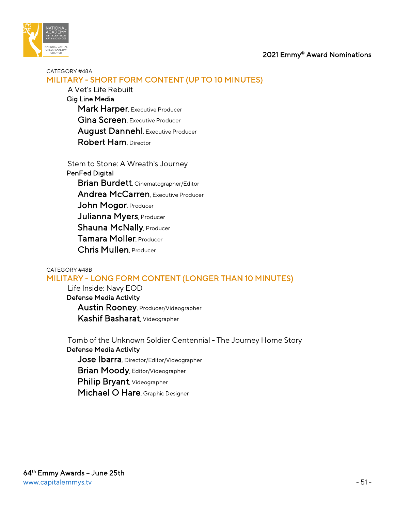

## CATEGORY #48A MILITARY - SHORT FORM CONTENT (UP TO 10 MINUTES)

 A Vet's Life Rebuilt Gig Line Media Mark Harper, Executive Producer Gina Screen, Executive Producer August Dannehl, Executive Producer Robert Ham, Director

 Stem to Stone: A Wreath's Journey PenFed Digital Brian Burdett, Cinematographer/Editor Andrea McCarren, Executive Producer John Mogor, Producer Julianna Myers, Producer Shauna McNally, Producer Tamara Moller, Producer Chris Mullen, Producer

#### CATEGORY #48B MILITARY - LONG FORM CONTENT (LONGER THAN 10 MINUTES)

 Life Inside: Navy EOD Defense Media Activity Austin Rooney, Producer/Videographer Kashif Basharat, Videographer

 Tomb of the Unknown Soldier Centennial - The Journey Home Story Defense Media Activity Jose Ibarra, Director/Editor/Videographer Brian Moody, Editor/Videographer Philip Bryant, Videographer Michael O Hare, Graphic Designer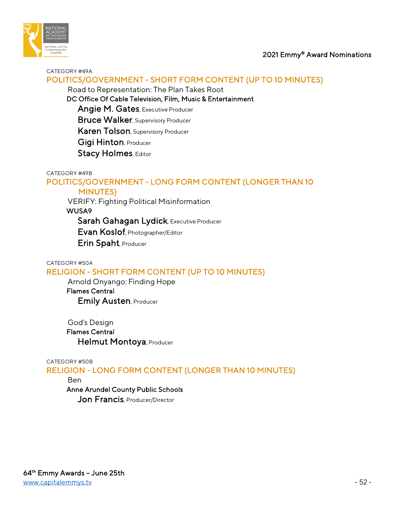

#### CATEGORY #49A

## POLITICS/GOVERNMENT - SHORT FORM CONTENT (UP TO 10 MINUTES)

Road to Representation: The Plan Takes Root

DC Office Of Cable Television, Film, Music & Entertainment

Angie M. Gates, Executive Producer

**Bruce Walker**, Supervisory Producer

Karen Tolson, Supervisory Producer

Gigi Hinton, Producer

Stacy Holmes, Editor

#### CATEGORY #49B

# POLITICS/GOVERNMENT - LONG FORM CONTENT (LONGER THAN 10

## MINUTES)

VERIFY: Fighting Political Misinformation

WUSA9

Sarah Gahagan Lydick, Executive Producer

Evan Koslof, Photographer/Editor

Erin Spaht, Producer

#### CATEGORY #50A

## RELIGION - SHORT FORM CONTENT (UP TO 10 MINUTES)

 Arnold Onyango: Finding Hope Flames Central Emily Austen, Producer

 God's Design Flames Central Helmut Montoya, Producer

#### CATEGORY #50B

RELIGION - LONG FORM CONTENT (LONGER THAN 10 MINUTES)

Ben

### Anne Arundel County Public Schools

Jon Francis, Producer/Director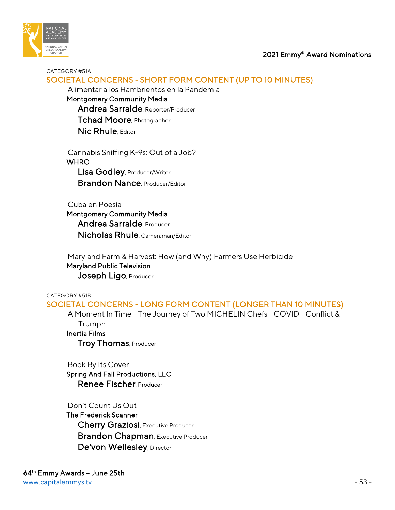

#### CATEGORY #51A

## SOCIETAL CONCERNS - SHORT FORM CONTENT (UP TO 10 MINUTES)

Alimentar a los Hambrientos en la Pandemia

 Montgomery Community Media Andrea Sarralde, Reporter/Producer Tchad Moore, Photographer Nic Rhule, Editor

 Cannabis Sniffing K-9s: Out of a Job? **WHRO**  Lisa Godley, Producer/Writer Brandon Nance, Producer/Editor

 Cuba en Poesía Montgomery Community Media Andrea Sarralde, Producer Nicholas Rhule, Cameraman/Editor

 Maryland Farm & Harvest: How (and Why) Farmers Use Herbicide Maryland Public Television Joseph Ligo, Producer

## CATEGORY #51B SOCIETAL CONCERNS - LONG FORM CONTENT (LONGER THAN 10 MINUTES)

 A Moment In Time - The Journey of Two MICHELIN Chefs - COVID - Conflict & Trumph

Inertia Films

Troy Thomas, Producer

 Book By Its Cover Spring And Fall Productions, LLC Renee Fischer Producer

### Don't Count Us Out

 The Frederick Scanner Cherry Graziosi, Executive Producer Brandon Chapman, Executive Producer De'von Wellesley, Director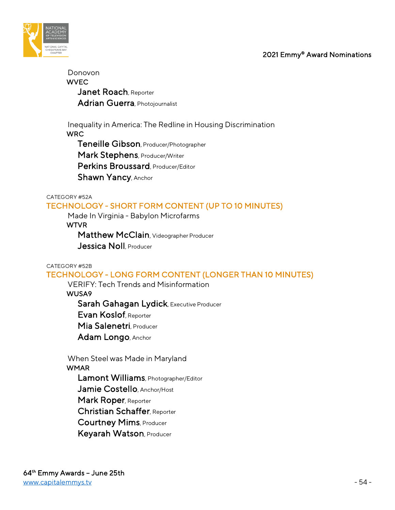

# Donovon **WVEC** Janet Roach, Reporter Adrian Guerra, Photojournalist

 Inequality in America: The Redline in Housing Discrimination WRC

Teneille Gibson, Producer/Photographer

Mark Stephens, Producer/Writer

Perkins Broussard, Producer/Editor

Shawn Yancy, Anchor

#### CATEGORY #52A

## TECHNOLOGY - SHORT FORM CONTENT (UP TO 10 MINUTES)

Made In Virginia - Babylon Microfarms

#### **WTVR**

 Matthew McClain, Videographer Producer Jessica Noll, Producer

#### CATEGORY #52B

# TECHNOLOGY - LONG FORM CONTENT (LONGER THAN 10 MINUTES)

VERIFY: Tech Trends and Misinformation

WUSA9

Sarah Gahagan Lydick, Executive Producer

Evan Koslof, Reporter

Mia Salenetri, Producer

Adam Longo, Anchor

 When Steel was Made in Maryland **WMAR**  Lamont Williams, Photographer/Editor Jamie Costello, Anchor/Host Mark Roper, Reporter Christian Schaffer, Reporter Courtney Mims, Producer Keyarah Watson, Producer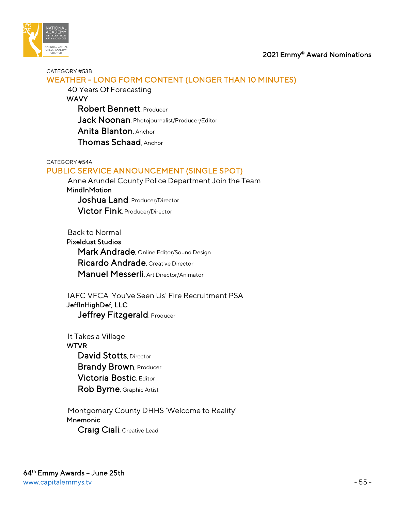



#### CATEGORY #53B

# WEATHER - LONG FORM CONTENT (LONGER THAN 10 MINUTES)

 40 Years Of Forecasting **WAVY**  Robert Bennett, Producer Jack Noonan, Photojournalist/Producer/Editor Anita Blanton, Anchor Thomas Schaad, Anchor

#### CATEGORY #54A

## PUBLIC SERVICE ANNOUNCEMENT (SINGLE SPOT)

 Anne Arundel County Police Department Join the Team **MindInMotion** Joshua Land, Producer/Director Victor Fink, Producer/Director

 Back to Normal Pixeldust Studios Mark Andrade, Online Editor/Sound Design Ricardo Andrade, Creative Director Manuel Messerli, Art Director/Animator

 IAFC VFCA 'You've Seen Us' Fire Recruitment PSA JeffInHighDef, LLC Jeffrey Fitzgerald, Producer

 It Takes a Village WTVR David Stotts, Director **Brandy Brown, Producer**  Victoria Bostic, Editor Rob Byrne, Graphic Artist

 Montgomery County DHHS 'Welcome to Reality' **Mnemonic** Craig Ciali, Creative Lead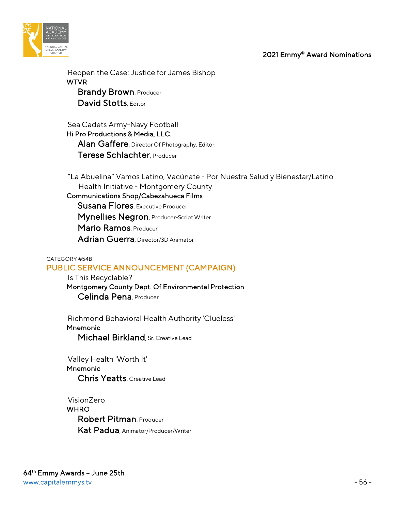

 Reopen the Case: Justice for James Bishop WTVR **Brandy Brown, Producer** David Stotts, Editor

 Sea Cadets Army-Navy Football Hi Pro Productions & Media, LLC. Alan Gaffere, Director Of Photography. Editor. Terese Schlachter, Producer

 "La Abuelina" Vamos Latino, Vacúnate - Por Nuestra Salud y Bienestar/Latino Health Initiative - Montgomery County Communications Shop/Cabezahueca Films

 Susana Flores, Executive Producer Mynellies Negron, Producer-Script Writer Mario Ramos, Producer Adrian Guerra, Director/3D Animator

### CATEGORY #54B PUBLIC SERVICE ANNOUNCEMENT (CAMPAIGN)

 Is This Recyclable? Montgomery County Dept. Of Environmental Protection Celinda Pena, Producer

 Richmond Behavioral Health Authority 'Clueless' **Mnemonic** Michael Birkland, Sr. Creative Lead

 Valley Health 'Worth It' Mnemonic Chris Yeatts, Creative Lead

 VisionZero **WHRO**  Robert Pitman, Producer Kat Padua, Animator/Producer/Writer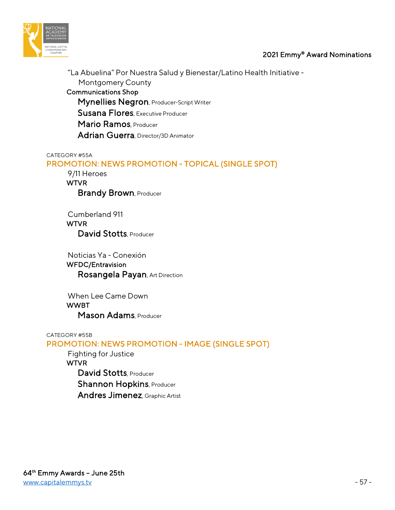

 "La Abuelina" Por Nuestra Salud y Bienestar/Latino Health Initiative - Montgomery County Communications Shop Mynellies Negron, Producer-Script Writer Susana Flores, Executive Producer Mario Ramos, Producer Adrian Guerra, Director/3D Animator

#### CATEGORY #55A

## PROMOTION: NEWS PROMOTION - TOPICAL (SINGLE SPOT)

 9/11 Heroes WTVR **Brandy Brown, Producer** 

 Cumberland 911 WTVR David Stotts, Producer

 Noticias Ya - Conexión WFDC/Entravision Rosangela Payan, Art Direction

 When Lee Came Down WWBT Mason Adams, Producer

CATEGORY #55B

### PROMOTION: NEWS PROMOTION - IMAGE (SINGLE SPOT)

 Fighting for Justice **WTVR** David Stotts, Producer Shannon Hopkins, Producer Andres Jimenez, Graphic Artist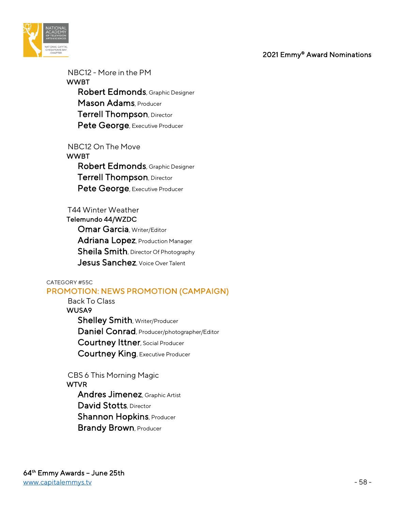

 NBC12 - More in the PM WWBT Robert Edmonds, Graphic Designer Mason Adams, Producer Terrell Thompson, Director Pete George, Executive Producer

 NBC12 On The Move WWBT Robert Edmonds, Graphic Designer Terrell Thompson, Director Pete George, Executive Producer

# T44 Winter Weather Telemundo 44/WZDC **Omar Garcia, Writer/Editor**  Adriana Lopez, Production Manager Sheila Smith, Director Of Photography Jesus Sanchez, Voice Over Talent

#### CATEGORY #55C

### PROMOTION: NEWS PROMOTION (CAMPAIGN)

 Back To Class WUSA9 Shelley Smith, Writer/Producer Daniel Conrad, Producer/photographer/Editor Courtney Ittner, Social Producer Courtney King, Executive Producer

 CBS 6 This Morning Magic **WTVR**  Andres Jimenez, Graphic Artist David Stotts, Director **Shannon Hopkins, Producer Brandy Brown, Producer**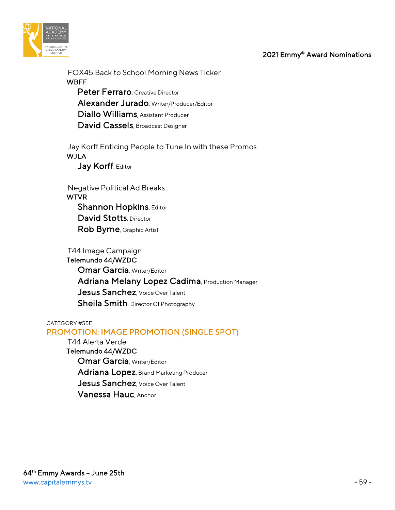

 FOX45 Back to School Morning News Ticker **WBFF** Peter Ferraro, Creative Director

 Alexander Jurado, Writer/Producer/Editor Diallo Williams, Assistant Producer David Cassels, Broadcast Designer

 Jay Korff Enticing People to Tune In with these Promos WJLA Jay Korff, Editor

 Negative Political Ad Breaks WTVR **Shannon Hopkins, Editor** David Stotts, Director Rob Byrne, Graphic Artist

 T44 Image Campaign Telemundo 44/WZDC **Omar Garcia, Writer/Editor** Adriana Melany Lopez Cadima, Production Manager Jesus Sanchez, Voice Over Talent Sheila Smith, Director Of Photography

#### CATEGORY #55E

### PROMOTION: IMAGE PROMOTION (SINGLE SPOT)

 T44 Alerta Verde Telemundo 44/WZDC **Omar Garcia, Writer/Editor** Adriana Lopez, Brand Marketing Producer Jesus Sanchez, Voice Over Talent Vanessa Hauc, Anchor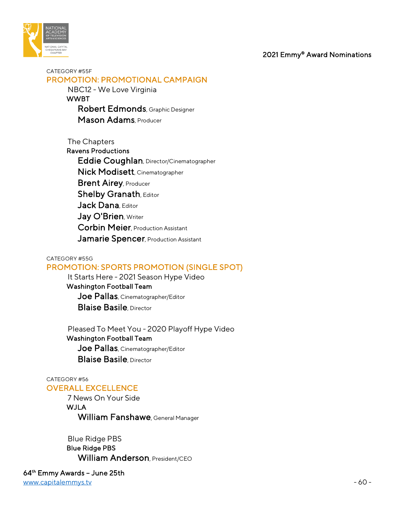

CATEGORY #55F PROMOTION: PROMOTIONAL CAMPAIGN

> NBC12 - We Love Virginia WWBT Robert Edmonds, Graphic Designer Mason Adams, Producer

 The Chapters Ravens Productions Eddie Coughlan, Director/Cinematographer Nick Modisett, Cinematographer **Brent Airey, Producer Shelby Granath, Editor** Jack Dana, Editor Jay O'Brien, Writer Corbin Meier, Production Assistant Jamarie Spencer, Production Assistant

#### CATEGORY #55G PROMOTION: SPORTS PROMOTION (SINGLE SPOT)

 It Starts Here - 2021 Season Hype Video Washington Football Team Joe Pallas, Cinematographer/Editor **Blaise Basile**, Director

 Pleased To Meet You - 2020 Playoff Hype Video Washington Football Team Joe Pallas, Cinematographer/Editor **Blaise Basile** Director

#### CATEGORY #56 OVERALL EXCELLENCE

 7 News On Your Side WJLA William Fanshawe, General Manager

 Blue Ridge PBS Blue Ridge PBS William Anderson, President/CEO

64th Emmy Awards – June 25th [www.capitalemmys.tv](http://www.capitalemmys.tv/) - 60 -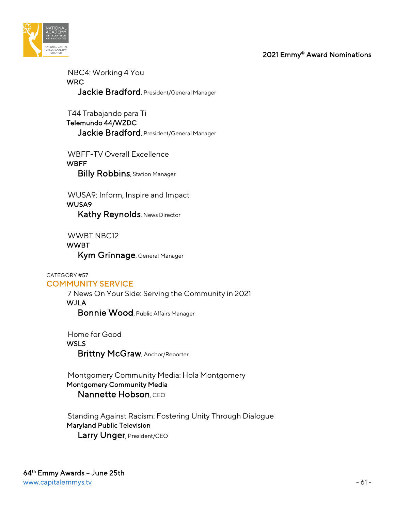

 NBC4: Working 4 You WRC Jackie Bradford, President/General Manager

 T44 Trabajando para Ti Telemundo 44/WZDC Jackie Bradford, President/General Manager

 WBFF-TV Overall Excellence **WBFF Billy Robbins**, Station Manager

 WUSA9: Inform, Inspire and Impact WUSA9 Kathy Reynolds, News Director

 WWBT NBC12 WWBT Kym Grinnage, General Manager

#### CATEGORY #57 COMMUNITY SERVICE

 7 News On Your Side: Serving the Community in 2021 WJLA Bonnie Wood, Public Affairs Manager

 Home for Good **WSLS** Brittny McGraw, Anchor/Reporter

 Montgomery Community Media: Hola Montgomery Montgomery Community Media Nannette Hobson, CEO

 Standing Against Racism: Fostering Unity Through Dialogue Maryland Public Television Larry Unger, President/CEO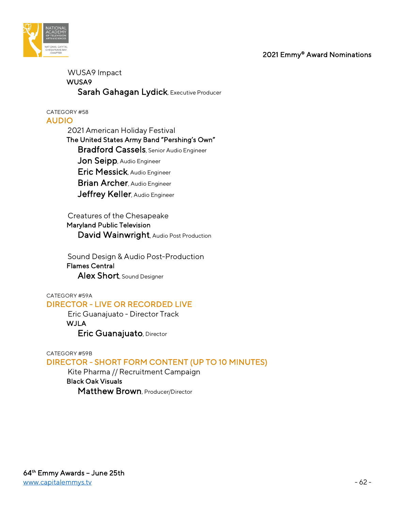

## WUSA9 Impact WUSA9 Sarah Gahagan Lydick, Executive Producer

CATEGORY #58 AUDIO

> 2021 American Holiday Festival The United States Army Band "Pershing's Own" Bradford Cassels, Senior Audio Engineer Jon Seipp, Audio Engineer Eric Messick, Audio Engineer Brian Archer, Audio Engineer Jeffrey Keller, Audio Engineer

Creatures of the Chesapeake

 Maryland Public Television David Wainwright, Audio Post Production

 Sound Design & Audio Post-Production Flames Central Alex Short, Sound Designer

#### CATEGORY #59A DIRECTOR - LIVE OR RECORDED LIVE

 Eric Guanajuato - Director Track WJLA Eric Guanajuato, Director

## CATEGORY #59B DIRECTOR - SHORT FORM CONTENT (UP TO 10 MINUTES)

 Kite Pharma // Recruitment Campaign Black Oak Visuals Matthew Brown, Producer/Director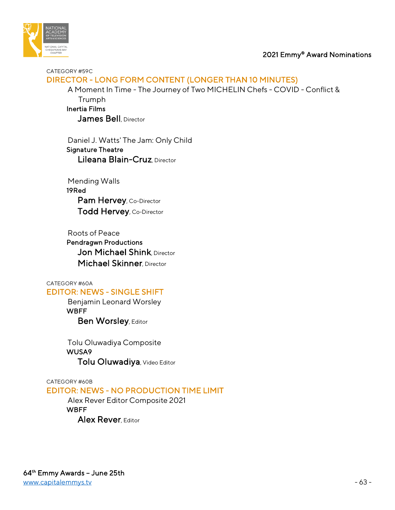

CATEGORY #59C DIRECTOR - LONG FORM CONTENT (LONGER THAN 10 MINUTES)

 A Moment In Time - The Journey of Two MICHELIN Chefs - COVID - Conflict & Trumph Inertia Films James Bell, Director

 Daniel J. Watts' The Jam: Only Child Signature Theatre Lileana Blain-Cruz, Director

 Mending Walls 19Red Pam Hervey, Co-Director Todd Hervey, Co-Director

 Roots of Peace Pendragwn Productions Jon Michael Shink, Director Michael Skinner, Director

CATEGORY #60A

## EDITOR: NEWS - SINGLE SHIFT

 Benjamin Leonard Worsley **WBFF** Ben Worsley, Editor

 Tolu Oluwadiya Composite WUSA9 Tolu Oluwadiya, Video Editor

CATEGORY #60B

# EDITOR: NEWS - NO PRODUCTION TIME LIMIT

 Alex Rever Editor Composite 2021 **WBFF** Alex Rever, Editor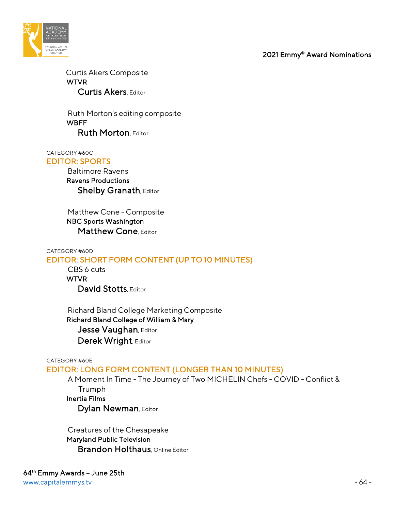

 Curtis Akers Composite WTVR Curtis Akers, Editor

 Ruth Morton's editing composite **WBFF** Ruth Morton, Editor

CATEGORY #60C EDITOR: SPORTS

 Baltimore Ravens Ravens Productions **Shelby Granath, Editor** 

 Matthew Cone - Composite NBC Sports Washington Matthew Cone, Editor

CATEGORY #60D EDITOR: SHORT FORM CONTENT (UP TO 10 MINUTES)

 CBS 6 cuts WTVR David Stotts, Editor

 Richard Bland College Marketing Composite Richard Bland College of William & Mary Jesse Vaughan, Editor Derek Wright, Editor

CATEGORY #60E

### EDITOR: LONG FORM CONTENT (LONGER THAN 10 MINUTES)

 A Moment In Time - The Journey of Two MICHELIN Chefs - COVID - Conflict & Trumph Inertia Films

Dylan Newman, Editor

 Creatures of the Chesapeake Maryland Public Television **Brandon Holthaus**, Online Editor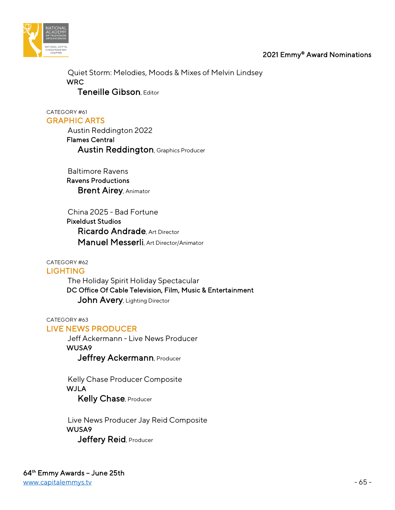



 Quiet Storm: Melodies, Moods & Mixes of Melvin Lindsey WRC Teneille Gibson, Editor

CATEGORY #61 GRAPHIC ARTS

> Austin Reddington 2022 Flames Central Austin Reddington, Graphics Producer

 Baltimore Ravens Ravens Productions **Brent Airey, Animator** 

 China 2025 - Bad Fortune Pixeldust Studios Ricardo Andrade, Art Director Manuel Messerli, Art Director/Animator

CATEGORY #62

**LIGHTING** 

 The Holiday Spirit Holiday Spectacular DC Office Of Cable Television, Film, Music & Entertainment John Avery, Lighting Director

CATEGORY #63 LIVE NEWS PRODUCER

> Jeff Ackermann - Live News Producer WUSA9 Jeffrey Ackermann, Producer

 Kelly Chase Producer Composite **WJLA** Kelly Chase, Producer

 Live News Producer Jay Reid Composite WUSA9 Jeffery Reid, Producer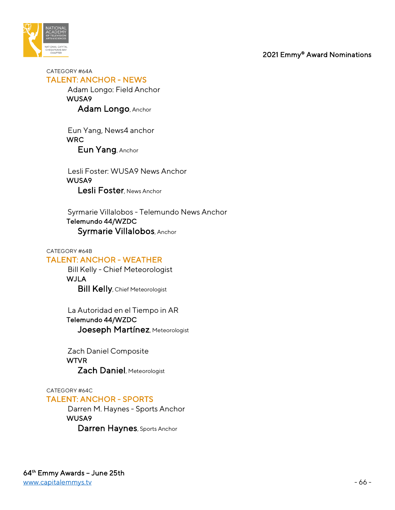

CATEGORY #64A TALENT: ANCHOR - NEWS Adam Longo: Field Anchor WUSA9 Adam Longo, Anchor

> Eun Yang, News4 anchor **WRC** Eun Yang, Anchor

 Lesli Foster: WUSA9 News Anchor WUSA9 Lesli Foster, News Anchor

 Syrmarie Villalobos - Telemundo News Anchor Telemundo 44/WZDC Syrmarie Villalobos, Anchor

#### CATEGORY #64B

## TALENT: ANCHOR - WEATHER

 Bill Kelly - Chief Meteorologist WJLA **Bill Kelly**, Chief Meteorologist

 La Autoridad en el Tiempo in AR Telemundo 44/WZDC Joeseph Martínez, Meteorologist

 Zach Daniel Composite WTVR Zach Daniel, Meteorologist

CATEGORY #64C

### TALENT: ANCHOR - SPORTS

 Darren M. Haynes - Sports Anchor WUSA9 Darren Haynes, Sports Anchor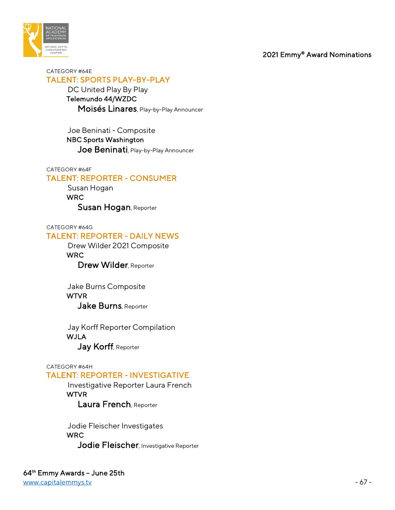

#### CATEGORY #64E TALENT: SPORTS PLAY-BY-PLAY

 DC United Play By Play Telemundo 44/WZDC Moisés Linares, Play-by-Play Announcer

 Joe Beninati - Composite NBC Sports Washington Joe Beninati, Play-by-Play Announcer

#### CATEGORY #64F

### TALENT: REPORTER - CONSUMER

 Susan Hogan WRC Susan Hogan, Reporter

CATEGORY #64G

### TALENT: REPORTER - DAILY NEWS

 Drew Wilder 2021 Composite WRC Drew Wilder, Reporter

 Jake Burns Composite **WTVR** Jake Burns, Reporter

 Jay Korff Reporter Compilation WJLA Jay Korff, Reporter

#### CATEGORY #64H

### TALENT: REPORTER - INVESTIGATIVE

 Investigative Reporter Laura French WTVR Laura French, Reporter

 Jodie Fleischer Investigates WRC Jodie Fleischer, Investigative Reporter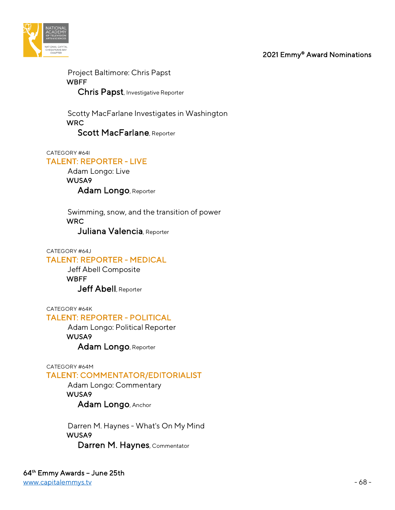

 Project Baltimore: Chris Papst **WBFF** Chris Papst, Investigative Reporter

 Scotty MacFarlane Investigates in Washington WRC Scott MacFarlane, Reporter

CATEGORY #64I

### TALENT: REPORTER - LIVE

 Adam Longo: Live WUSA9 Adam Longo, Reporter

 Swimming, snow, and the transition of power WRC

Juliana Valencia, Reporter

#### CATEGORY #64J

## TALENT: REPORTER - MEDICAL

 Jeff Abell Composite **WBFF** Jeff Abell, Reporter

CATEGORY #64K

## TALENT: REPORTER - POLITICAL

 Adam Longo: Political Reporter WUSA9 Adam Longo, Reporter

CATEGORY #64M

### TALENT: COMMENTATOR/EDITORIALIST

 Adam Longo: Commentary WUSA9 Adam Longo, Anchor

 Darren M. Haynes - What's On My Mind WUSA9 Darren M. Haynes, Commentator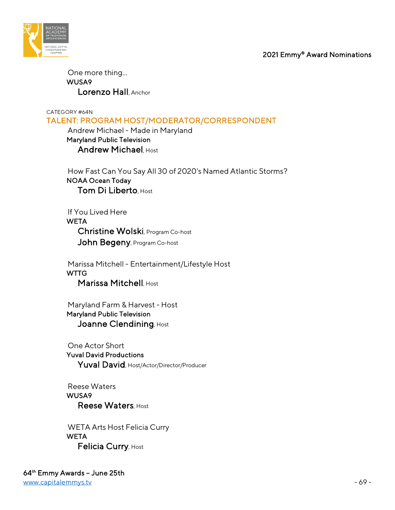

 One more thing... WUSA9 Lorenzo Hall, Anchor

CATEGORY #64N

TALENT: PROGRAM HOST/MODERATOR/CORRESPONDENT

 Andrew Michael - Made in Maryland Maryland Public Television Andrew Michael, Host

 How Fast Can You Say All 30 of 2020's Named Atlantic Storms? NOAA Ocean Today Tom Di Liberto, Host

 If You Lived Here **WETA**  Christine Wolski, Program Co-host John Begeny, Program Co-host

 Marissa Mitchell - Entertainment/Lifestyle Host **WTTG** Marissa Mitchell, Host

 Maryland Farm & Harvest - Host Maryland Public Television Joanne Clendining, Host

 One Actor Short Yuval David Productions Yuval David, Host/Actor/Director/Producer

 Reese Waters WUSA9 Reese Waters, Host

 WETA Arts Host Felicia Curry **WETA** Felicia Curry, Host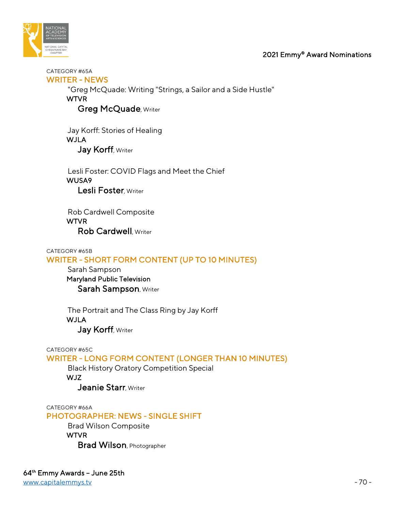

CATEGORY #65A WRITER - NEWS

> "Greg McQuade: Writing "Strings, a Sailor and a Side Hustle" **WTVR**

Greg McQuade, Writer

 Jay Korff: Stories of Healing WJLA Jay Korff, Writer

 Lesli Foster: COVID Flags and Meet the Chief WUSA9 Lesli Foster, Writer

 Rob Cardwell Composite WTVR Rob Cardwell, Writer

CATEGORY #65B WRITER - SHORT FORM CONTENT (UP TO 10 MINUTES)

 Sarah Sampson Maryland Public Television Sarah Sampson, Writer

 The Portrait and The Class Ring by Jay Korff WJLA Jay Korff, Writer

CATEGORY #65C

WRITER - LONG FORM CONTENT (LONGER THAN 10 MINUTES)

 Black History Oratory Competition Special WJZ

Jeanie Starr, Writer

CATEGORY #66A

PHOTOGRAPHER: NEWS - SINGLE SHIFT

 Brad Wilson Composite WTVR

Brad Wilson, Photographer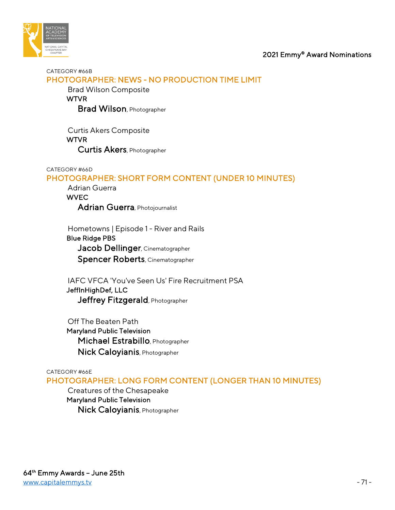

#### CATEGORY #66B PHOTOGRAPHER: NEWS - NO PRODUCTION TIME LIMIT

Brad Wilson Composite

#### **WTVR**

Brad Wilson, Photographer

 Curtis Akers Composite WTVR Curtis Akers, Photographer

#### CATEGORY #66D

## PHOTOGRAPHER: SHORT FORM CONTENT (UNDER 10 MINUTES)

 Adrian Guerra **WVEC** Adrian Guerra, Photojournalist

 Hometowns | Episode 1 - River and Rails Blue Ridge PBS Jacob Dellinger, Cinematographer Spencer Roberts, Cinematographer

 IAFC VFCA 'You've Seen Us' Fire Recruitment PSA JeffInHighDef, LLC Jeffrey Fitzgerald, Photographer

 Off The Beaten Path Maryland Public Television Michael Estrabillo, Photographer Nick Caloyianis, Photographer

#### CATEGORY #66E

PHOTOGRAPHER: LONG FORM CONTENT (LONGER THAN 10 MINUTES)

 Creatures of the Chesapeake Maryland Public Television Nick Caloyianis, Photographer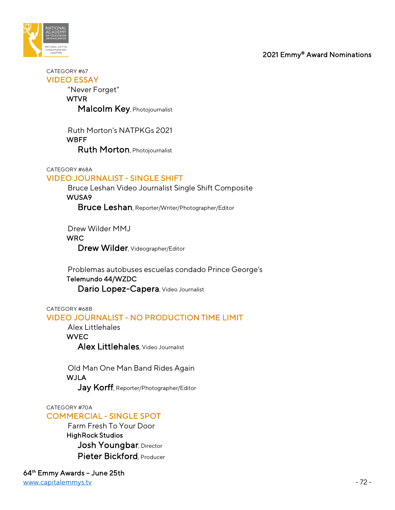

CATEGORY #67 VIDEO ESSAY

"Never Forget"

WTVR

Malcolm Key, Photojournalist

 Ruth Morton's NATPKGs 2021 **WBFF** Ruth Morton, Photojournalist

CATEGORY #68A

## VIDEO JOURNALIST - SINGLE SHIFT

 Bruce Leshan Video Journalist Single Shift Composite WUSA9

Bruce Leshan, Reporter/Writer/Photographer/Editor

Drew Wilder MMJ

WRC

Drew Wilder, Videographer/Editor

 Problemas autobuses escuelas condado Prince George's Telemundo 44/WZDC Dario Lopez-Capera, Video Journalist

## CATEGORY #68B VIDEO JOURNALIST - NO PRODUCTION TIME LIMIT

 Alex Littlehales **WVEC** Alex Littlehales, Video Journalist

 Old Man One Man Band Rides Again WJLA Jay Korff, Reporter/Photographer/Editor

### CATEGORY #70A

# COMMERCIAL - SINGLE SPOT

 Farm Fresh To Your Door HighRock Studios Josh Youngbar, Director Pieter Bickford, Producer

64th Emmy Awards – June 25th [www.capitalemmys.tv](http://www.capitalemmys.tv/) - 72 -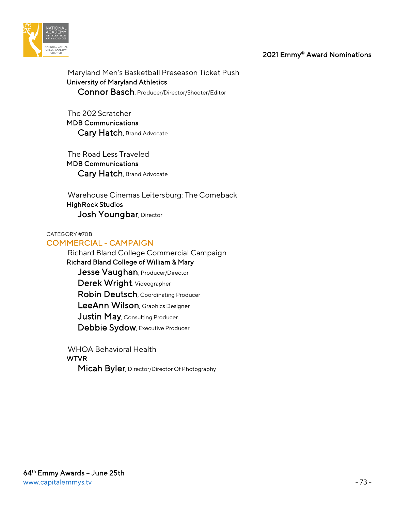



 Maryland Men's Basketball Preseason Ticket Push University of Maryland Athletics Connor Basch, Producer/Director/Shooter/Editor

 The 202 Scratcher MDB Communications Cary Hatch, Brand Advocate

 The Road Less Traveled MDB Communications Cary Hatch, Brand Advocate

 Warehouse Cinemas Leitersburg: The Comeback HighRock Studios Josh Youngbar, Director

#### CATEGORY #70B

### COMMERCIAL - CAMPAIGN

 Richard Bland College Commercial Campaign Richard Bland College of William & Mary Jesse Vaughan, Producer/Director Derek Wright, Videographer Robin Deutsch, Coordinating Producer LeeAnn Wilson, Graphics Designer Justin May, Consulting Producer Debbie Sydow, Executive Producer

WHOA Behavioral Health

### WTVR

Micah Byler, Director/Director Of Photography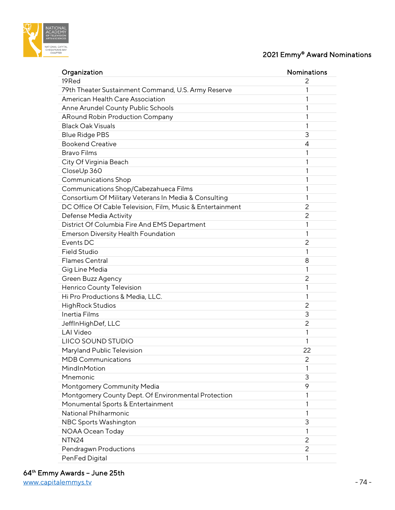

# 2021 Emmy® Award Nominations

| Organization                                               | <b>Nominations</b> |
|------------------------------------------------------------|--------------------|
| 19Red                                                      | 2                  |
| 79th Theater Sustainment Command, U.S. Army Reserve        | 1                  |
| American Health Care Association                           | 1                  |
| Anne Arundel County Public Schools                         | 1                  |
| <b>ARound Robin Production Company</b>                     | 1                  |
| <b>Black Oak Visuals</b>                                   | 1                  |
| <b>Blue Ridge PBS</b>                                      | 3                  |
| <b>Bookend Creative</b>                                    | 4                  |
| <b>Bravo Films</b>                                         | 1                  |
| City Of Virginia Beach                                     | 1                  |
| CloseUp 360                                                | 1                  |
| <b>Communications Shop</b>                                 | 1                  |
| Communications Shop/Cabezahueca Films                      | 1                  |
| Consortium Of Military Veterans In Media & Consulting      | 1                  |
| DC Office Of Cable Television, Film, Music & Entertainment | 2                  |
| Defense Media Activity                                     | 2                  |
| District Of Columbia Fire And EMS Department               | 1                  |
| Emerson Diversity Health Foundation                        | 1                  |
| Events DC                                                  | 2                  |
| <b>Field Studio</b>                                        | 1                  |
| <b>Flames Central</b>                                      | 8                  |
| Gig Line Media                                             | 1                  |
| Green Buzz Agency                                          | 2                  |
| Henrico County Television                                  | 1                  |
| Hi Pro Productions & Media, LLC.                           | 1                  |
| <b>HighRock Studios</b>                                    | 2                  |
| Inertia Films                                              | 3                  |
| JeffInHighDef, LLC                                         | 2                  |
| <b>LAI Video</b>                                           | 1                  |
| LIICO SOUND STUDIO                                         | 1                  |
| Maryland Public Television                                 | 22                 |
| <b>MDB Communications</b>                                  | 2                  |
| MindInMotion                                               | 1                  |
| Mnemonic                                                   | 3                  |
| Montgomery Community Media                                 | 9                  |
| Montgomery County Dept. Of Environmental Protection        | 1                  |
| Monumental Sports & Entertainment                          | 1                  |
| National Philharmonic                                      | 1                  |
| NBC Sports Washington                                      | 3                  |
| NOAA Ocean Today                                           | 1                  |
| NTN <sub>24</sub>                                          | 2                  |
| Pendragwn Productions                                      | 2                  |
| PenFed Digital                                             | 1                  |